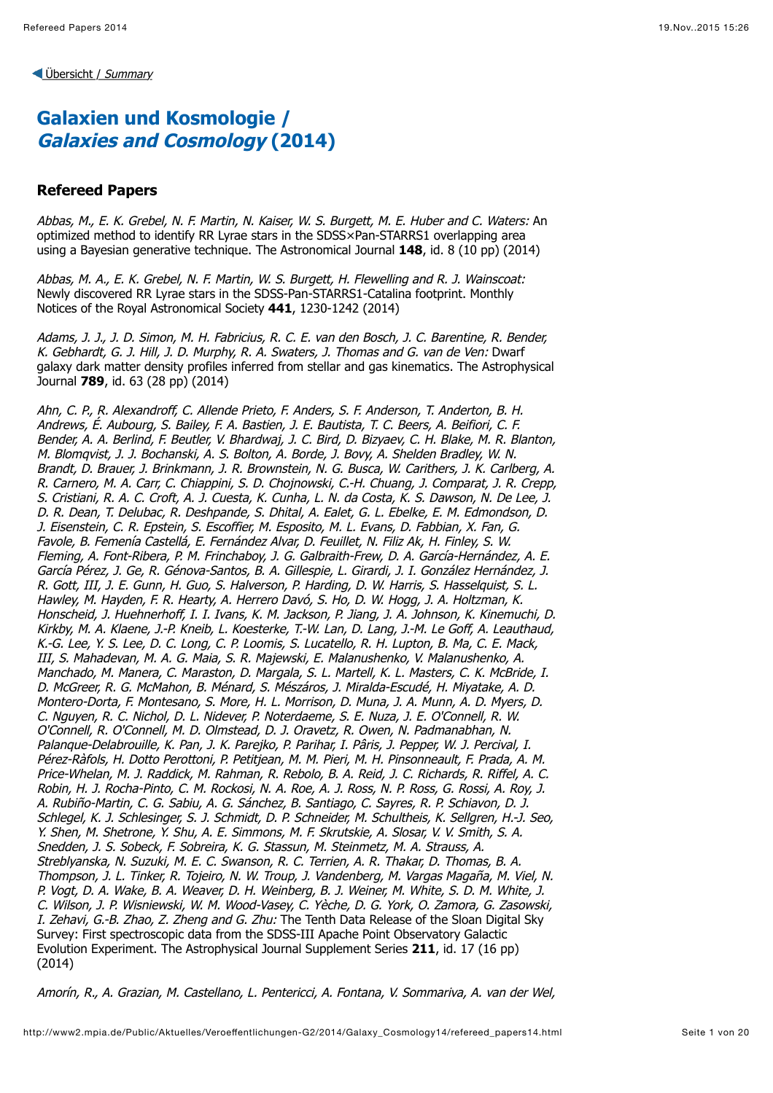[Übersicht /](http://www2.mpia.de/Public/Aktuelles/Veroeffentlichungen/index_gc.html) Summary

# **Galaxien und Kosmologie / Galaxies and Cosmology (2014)**

### **Refereed Papers**

Abbas, M., E. K. Grebel, N. F. Martin, N. Kaiser, W. S. Burgett, M. E. Huber and C. Waters: An optimized method to identify RR Lyrae stars in the SDSS×Pan-STARRS1 overlapping area using a Bayesian generative technique. The Astronomical Journal **148**, id. 8 (10 pp) (2014)

Abbas, M. A., E. K. Grebel, N. F. Martin, W. S. Burgett, H. Flewelling and R. J. Wainscoat: Newly discovered RR Lyrae stars in the SDSS-Pan-STARRS1-Catalina footprint. Monthly Notices of the Royal Astronomical Society **441**, 1230-1242 (2014)

Adams, J. J., J. D. Simon, M. H. Fabricius, R. C. E. van den Bosch, J. C. Barentine, R. Bender, K. Gebhardt, G. J. Hill, J. D. Murphy, R. A. Swaters, J. Thomas and G. van de Ven: Dwarf galaxy dark matter density profiles inferred from stellar and gas kinematics. The Astrophysical Journal **789**, id. 63 (28 pp) (2014)

Ahn, C. P., R. Alexandroff, C. Allende Prieto, F. Anders, S. F. Anderson, T. Anderton, B. H. Andrews, É. Aubourg, S. Bailey, F. A. Bastien, J. E. Bautista, T. C. Beers, A. Beifiori, C. F. Bender, A. A. Berlind, F. Beutler, V. Bhardwaj, J. C. Bird, D. Bizyaev, C. H. Blake, M. R. Blanton, M. Blomqvist, J. J. Bochanski, A. S. Bolton, A. Borde, J. Bovy, A. Shelden Bradley, W. N. Brandt, D. Brauer, J. Brinkmann, J. R. Brownstein, N. G. Busca, W. Carithers, J. K. Carlberg, A. R. Carnero, M. A. Carr, C. Chiappini, S. D. Chojnowski, C.-H. Chuang, J. Comparat, J. R. Crepp, S. Cristiani, R. A. C. Croft, A. J. Cuesta, K. Cunha, L. N. da Costa, K. S. Dawson, N. De Lee, J. D. R. Dean, T. Delubac, R. Deshpande, S. Dhital, A. Ealet, G. L. Ebelke, E. M. Edmondson, D. J. Eisenstein, C. R. Epstein, S. Escoffier, M. Esposito, M. L. Evans, D. Fabbian, X. Fan, G. Favole, B. Femenía Castellá, E. Fernández Alvar, D. Feuillet, N. Filiz Ak, H. Finley, S. W. Fleming, A. Font-Ribera, P. M. Frinchaboy, J. G. Galbraith-Frew, D. A. García-Hernández, A. E. García Pérez, J. Ge, R. Génova-Santos, B. A. Gillespie, L. Girardi, J. I. González Hernández, J. R. Gott, III, J. E. Gunn, H. Guo, S. Halverson, P. Harding, D. W. Harris, S. Hasselquist, S. L. Hawley, M. Hayden, F. R. Hearty, A. Herrero Davó, S. Ho, D. W. Hogg, J. A. Holtzman, K. Honscheid, J. Huehnerhoff, I. I. Ivans, K. M. Jackson, P. Jiang, J. A. Johnson, K. Kinemuchi, D. Kirkby, M. A. Klaene, J.-P. Kneib, L. Koesterke, T.-W. Lan, D. Lang, J.-M. Le Goff, A. Leauthaud, K.-G. Lee, Y. S. Lee, D. C. Long, C. P. Loomis, S. Lucatello, R. H. Lupton, B. Ma, C. E. Mack, III, S. Mahadevan, M. A. G. Maia, S. R. Majewski, E. Malanushenko, V. Malanushenko, A. Manchado, M. Manera, C. Maraston, D. Margala, S. L. Martell, K. L. Masters, C. K. McBride, I. D. McGreer, R. G. McMahon, B. Ménard, S. Mészáros, J. Miralda-Escudé, H. Miyatake, A. D. Montero-Dorta, F. Montesano, S. More, H. L. Morrison, D. Muna, J. A. Munn, A. D. Myers, D. C. Nguyen, R. C. Nichol, D. L. Nidever, P. Noterdaeme, S. E. Nuza, J. E. O'Connell, R. W. O'Connell, R. O'Connell, M. D. Olmstead, D. J. Oravetz, R. Owen, N. Padmanabhan, N. Palanque-Delabrouille, K. Pan, J. K. Parejko, P. Parihar, I. Pâris, J. Pepper, W. J. Percival, I. Pérez-Ràfols, H. Dotto Perottoni, P. Petitjean, M. M. Pieri, M. H. Pinsonneault, F. Prada, A. M. Price-Whelan, M. J. Raddick, M. Rahman, R. Rebolo, B. A. Reid, J. C. Richards, R. Riffel, A. C. Robin, H. J. Rocha-Pinto, C. M. Rockosi, N. A. Roe, A. J. Ross, N. P. Ross, G. Rossi, A. Roy, J. A. Rubiño-Martin, C. G. Sabiu, A. G. Sánchez, B. Santiago, C. Sayres, R. P. Schiavon, D. J. Schlegel, K. J. Schlesinger, S. J. Schmidt, D. P. Schneider, M. Schultheis, K. Sellgren, H.-J. Seo, Y. Shen, M. Shetrone, Y. Shu, A. E. Simmons, M. F. Skrutskie, A. Slosar, V. V. Smith, S. A. Snedden, J. S. Sobeck, F. Sobreira, K. G. Stassun, M. Steinmetz, M. A. Strauss, A. Streblyanska, N. Suzuki, M. E. C. Swanson, R. C. Terrien, A. R. Thakar, D. Thomas, B. A. Thompson, J. L. Tinker, R. Tojeiro, N. W. Troup, J. Vandenberg, M. Vargas Magaña, M. Viel, N. P. Vogt, D. A. Wake, B. A. Weaver, D. H. Weinberg, B. J. Weiner, M. White, S. D. M. White, J. C. Wilson, J. P. Wisniewski, W. M. Wood-Vasey, C. Yèche, D. G. York, O. Zamora, G. Zasowski, I. Zehavi, G.-B. Zhao, Z. Zheng and G. Zhu: The Tenth Data Release of the Sloan Digital Sky Survey: First spectroscopic data from the SDSS-III Apache Point Observatory Galactic Evolution Experiment. The Astrophysical Journal Supplement Series **211**, id. 17 (16 pp) (2014)

Amorín, R., A. Grazian, M. Castellano, L. Pentericci, A. Fontana, V. Sommariva, A. van der Wel,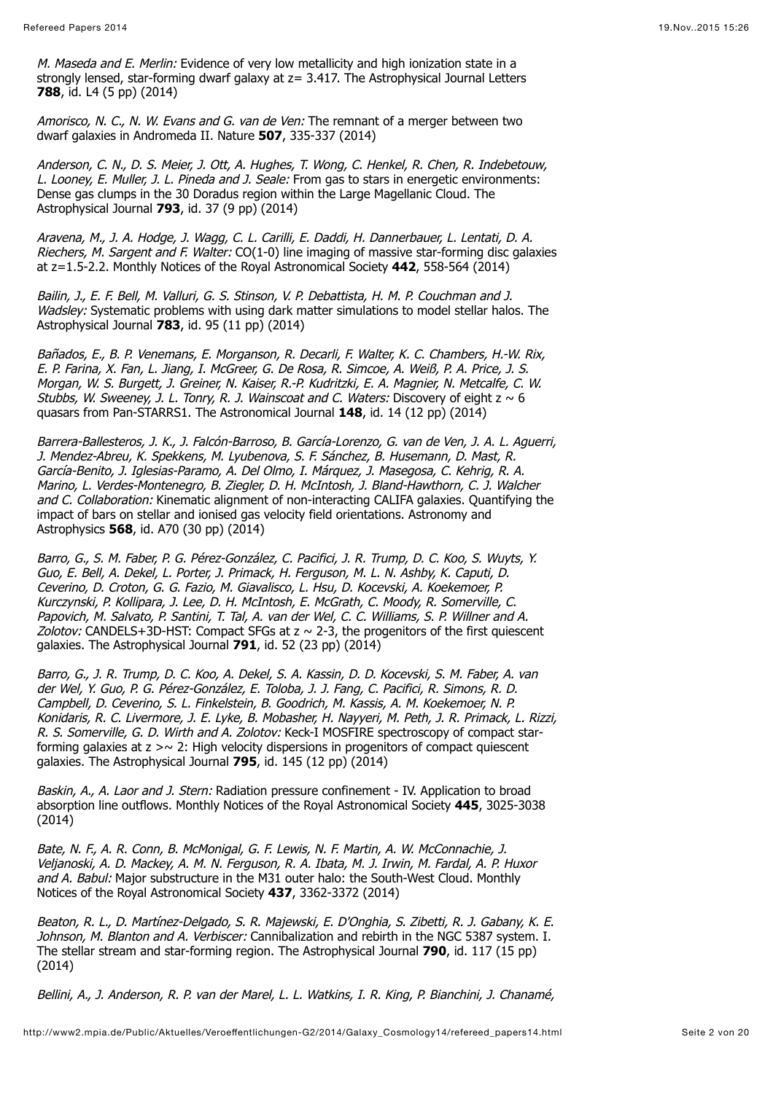M. Maseda and E. Merlin: Evidence of very low metallicity and high ionization state in a strongly lensed, star-forming dwarf galaxy at z= 3.417. The Astrophysical Journal Letters **788**, id. L4 (5 pp) (2014)

Amorisco, N. C., N. W. Evans and G. van de Ven: The remnant of a merger between two dwarf galaxies in Andromeda II. Nature **507**, 335-337 (2014)

Anderson, C. N., D. S. Meier, J. Ott, A. Hughes, T. Wong, C. Henkel, R. Chen, R. Indebetouw, L. Looney, E. Muller, J. L. Pineda and J. Seale: From gas to stars in energetic environments: Dense gas clumps in the 30 Doradus region within the Large Magellanic Cloud. The Astrophysical Journal **793**, id. 37 (9 pp) (2014)

Aravena, M., J. A. Hodge, J. Wagg, C. L. Carilli, E. Daddi, H. Dannerbauer, L. Lentati, D. A. Riechers, M. Sargent and F. Walter:  $CO(1-0)$  line imaging of massive star-forming disc galaxies at z=1.5-2.2. Monthly Notices of the Royal Astronomical Society **442**, 558-564 (2014)

Bailin, J., E. F. Bell, M. Valluri, G. S. Stinson, V. P. Debattista, H. M. P. Couchman and J. Wadsley: Systematic problems with using dark matter simulations to model stellar halos. The Astrophysical Journal **783**, id. 95 (11 pp) (2014)

Bañados, E., B. P. Venemans, E. Morganson, R. Decarli, F. Walter, K. C. Chambers, H.-W. Rix, E. P. Farina, X. Fan, L. Jiang, I. McGreer, G. De Rosa, R. Simcoe, A. Weiß, P. A. Price, J. S. Morgan, W. S. Burgett, J. Greiner, N. Kaiser, R.-P. Kudritzki, E. A. Magnier, N. Metcalfe, C. W. Stubbs, W. Sweeney, J. L. Tonry, R. J. Wainscoat and C. Waters: Discovery of eight  $z \sim 6$ quasars from Pan-STARRS1. The Astronomical Journal **148**, id. 14 (12 pp) (2014)

Barrera-Ballesteros, J. K., J. Falcón-Barroso, B. García-Lorenzo, G. van de Ven, J. A. L. Aguerri, J. Mendez-Abreu, K. Spekkens, M. Lyubenova, S. F. Sánchez, B. Husemann, D. Mast, R. García-Benito, J. Iglesias-Paramo, A. Del Olmo, I. Márquez, J. Masegosa, C. Kehrig, R. A. Marino, L. Verdes-Montenegro, B. Ziegler, D. H. McIntosh, J. Bland-Hawthorn, C. J. Walcher and C. Collaboration: Kinematic alignment of non-interacting CALIFA galaxies. Quantifying the impact of bars on stellar and ionised gas velocity field orientations. Astronomy and Astrophysics **568**, id. A70 (30 pp) (2014)

Barro, G., S. M. Faber, P. G. Pérez-González, C. Pacifici, J. R. Trump, D. C. Koo, S. Wuyts, Y. Guo, E. Bell, A. Dekel, L. Porter, J. Primack, H. Ferguson, M. L. N. Ashby, K. Caputi, D. Ceverino, D. Croton, G. G. Fazio, M. Giavalisco, L. Hsu, D. Kocevski, A. Koekemoer, P. Kurczynski, P. Kollipara, J. Lee, D. H. McIntosh, E. McGrath, C. Moody, R. Somerville, C. Papovich, M. Salvato, P. Santini, T. Tal, A. van der Wel, C. C. Williams, S. P. Willner and A. Zolotov: CANDELS+3D-HST: Compact SFGs at  $z \sim 2-3$ , the progenitors of the first quiescent galaxies. The Astrophysical Journal **791**, id. 52 (23 pp) (2014)

Barro, G., J. R. Trump, D. C. Koo, A. Dekel, S. A. Kassin, D. D. Kocevski, S. M. Faber, A. van der Wel, Y. Guo, P. G. Pérez-González, E. Toloba, J. J. Fang, C. Pacifici, R. Simons, R. D. Campbell, D. Ceverino, S. L. Finkelstein, B. Goodrich, M. Kassis, A. M. Koekemoer, N. P. Konidaris, R. C. Livermore, J. E. Lyke, B. Mobasher, H. Nayyeri, M. Peth, J. R. Primack, L. Rizzi, R. S. Somerville, G. D. Wirth and A. Zolotov: Keck-I MOSFIRE spectroscopy of compact starforming galaxies at  $z \rightarrow \infty$  2: High velocity dispersions in progenitors of compact quiescent galaxies. The Astrophysical Journal **795**, id. 145 (12 pp) (2014)

Baskin, A., A. Laor and J. Stern: Radiation pressure confinement - IV. Application to broad absorption line outflows. Monthly Notices of the Royal Astronomical Society **445**, 3025-3038 (2014)

Bate, N. F., A. R. Conn, B. McMonigal, G. F. Lewis, N. F. Martin, A. W. McConnachie, J. Veljanoski, A. D. Mackey, A. M. N. Ferguson, R. A. Ibata, M. J. Irwin, M. Fardal, A. P. Huxor and A. Babul: Major substructure in the M31 outer halo: the South-West Cloud. Monthly Notices of the Royal Astronomical Society **437**, 3362-3372 (2014)

Beaton, R. L., D. Martínez-Delgado, S. R. Majewski, E. D'Onghia, S. Zibetti, R. J. Gabany, K. E. Johnson, M. Blanton and A. Verbiscer: Cannibalization and rebirth in the NGC 5387 system. I. The stellar stream and star-forming region. The Astrophysical Journal **790**, id. 117 (15 pp) (2014)

Bellini, A., J. Anderson, R. P. van der Marel, L. L. Watkins, I. R. King, P. Bianchini, J. Chanamé,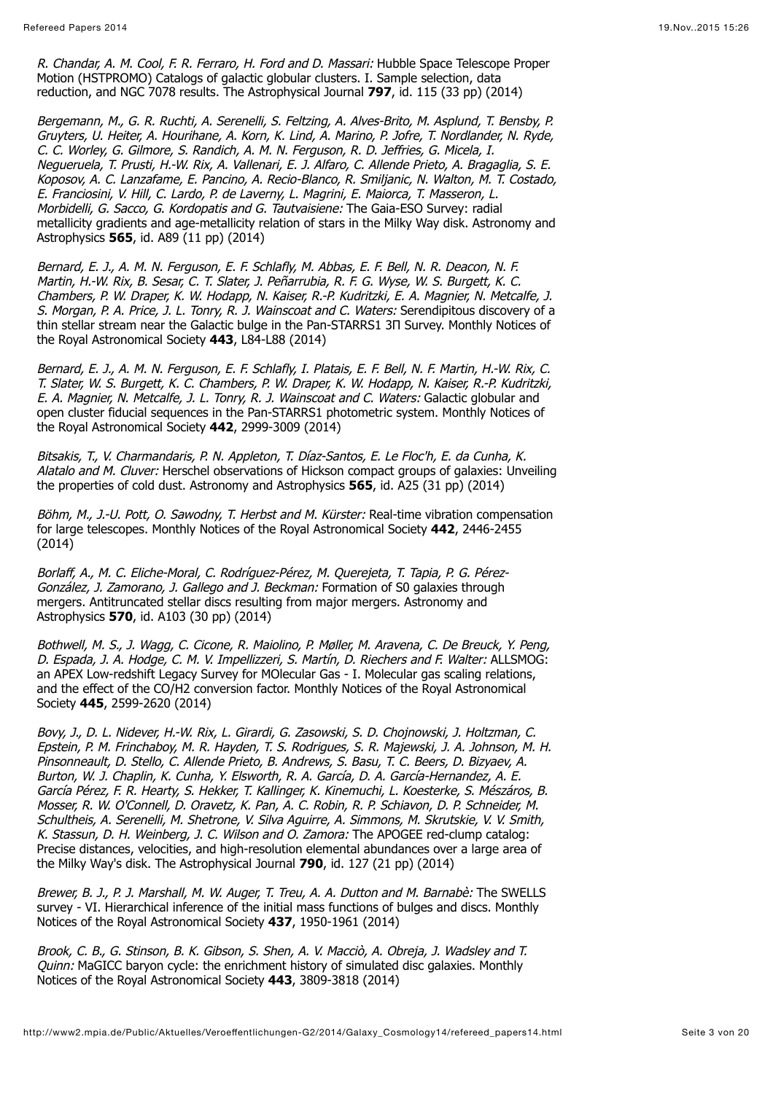R. Chandar, A. M. Cool, F. R. Ferraro, H. Ford and D. Massari: Hubble Space Telescope Proper Motion (HSTPROMO) Catalogs of galactic globular clusters. I. Sample selection, data reduction, and NGC 7078 results. The Astrophysical Journal **797**, id. 115 (33 pp) (2014)

Bergemann, M., G. R. Ruchti, A. Serenelli, S. Feltzing, A. Alves-Brito, M. Asplund, T. Bensby, P. Gruyters, U. Heiter, A. Hourihane, A. Korn, K. Lind, A. Marino, P. Jofre, T. Nordlander, N. Ryde, C. C. Worley, G. Gilmore, S. Randich, A. M. N. Ferguson, R. D. Jeffries, G. Micela, I. Negueruela, T. Prusti, H.-W. Rix, A. Vallenari, E. J. Alfaro, C. Allende Prieto, A. Bragaglia, S. E. Koposov, A. C. Lanzafame, E. Pancino, A. Recio-Blanco, R. Smiljanic, N. Walton, M. T. Costado, E. Franciosini, V. Hill, C. Lardo, P. de Laverny, L. Magrini, E. Maiorca, T. Masseron, L. Morbidelli, G. Sacco, G. Kordopatis and G. Tautvaisiene: The Gaia-ESO Survey: radial metallicity gradients and age-metallicity relation of stars in the Milky Way disk. Astronomy and Astrophysics **565**, id. A89 (11 pp) (2014)

Bernard, E. J., A. M. N. Ferguson, E. F. Schlafly, M. Abbas, E. F. Bell, N. R. Deacon, N. F. Martin, H.-W. Rix, B. Sesar, C. T. Slater, J. Peñarrubia, R. F. G. Wyse, W. S. Burgett, K. C. Chambers, P. W. Draper, K. W. Hodapp, N. Kaiser, R.-P. Kudritzki, E. A. Magnier, N. Metcalfe, J. S. Morgan, P. A. Price, J. L. Tonry, R. J. Wainscoat and C. Waters: Serendipitous discovery of a thin stellar stream near the Galactic bulge in the Pan-STARRS1 3Π Survey. Monthly Notices of the Royal Astronomical Society **443**, L84-L88 (2014)

Bernard, E. J., A. M. N. Ferguson, E. F. Schlafly, I. Platais, E. F. Bell, N. F. Martin, H.-W. Rix, C. T. Slater, W. S. Burgett, K. C. Chambers, P. W. Draper, K. W. Hodapp, N. Kaiser, R.-P. Kudritzki, E. A. Magnier, N. Metcalfe, J. L. Tonry, R. J. Wainscoat and C. Waters: Galactic globular and open cluster fiducial sequences in the Pan-STARRS1 photometric system. Monthly Notices of the Royal Astronomical Society **442**, 2999-3009 (2014)

Bitsakis, T., V. Charmandaris, P. N. Appleton, T. Díaz-Santos, E. Le Floc'h, E. da Cunha, K. Alatalo and M. Cluver: Herschel observations of Hickson compact groups of galaxies: Unveiling the properties of cold dust. Astronomy and Astrophysics **565**, id. A25 (31 pp) (2014)

Böhm, M., J.-U. Pott, O. Sawodny, T. Herbst and M. Kürster: Real-time vibration compensation for large telescopes. Monthly Notices of the Royal Astronomical Society **442**, 2446-2455 (2014)

Borlaff, A., M. C. Eliche-Moral, C. Rodríguez-Pérez, M. Querejeta, T. Tapia, P. G. Pérez-González, J. Zamorano, J. Gallego and J. Beckman: Formation of S0 galaxies through mergers. Antitruncated stellar discs resulting from major mergers. Astronomy and Astrophysics **570**, id. A103 (30 pp) (2014)

Bothwell, M. S., J. Wagg, C. Cicone, R. Maiolino, P. Møller, M. Aravena, C. De Breuck, Y. Peng, D. Espada, J. A. Hodge, C. M. V. Impellizzeri, S. Martín, D. Riechers and F. Walter: ALLSMOG: an APEX Low-redshift Legacy Survey for MOlecular Gas - I. Molecular gas scaling relations, and the effect of the CO/H2 conversion factor. Monthly Notices of the Royal Astronomical Society **445**, 2599-2620 (2014)

Bovy, J., D. L. Nidever, H.-W. Rix, L. Girardi, G. Zasowski, S. D. Chojnowski, J. Holtzman, C. Epstein, P. M. Frinchaboy, M. R. Hayden, T. S. Rodrigues, S. R. Majewski, J. A. Johnson, M. H. Pinsonneault, D. Stello, C. Allende Prieto, B. Andrews, S. Basu, T. C. Beers, D. Bizyaev, A. Burton, W. J. Chaplin, K. Cunha, Y. Elsworth, R. A. García, D. A. García-Hernandez, A. E. García Pérez, F. R. Hearty, S. Hekker, T. Kallinger, K. Kinemuchi, L. Koesterke, S. Mészáros, B. Mosser, R. W. O'Connell, D. Oravetz, K. Pan, A. C. Robin, R. P. Schiavon, D. P. Schneider, M. Schultheis, A. Serenelli, M. Shetrone, V. Silva Aguirre, A. Simmons, M. Skrutskie, V. V. Smith, K. Stassun, D. H. Weinberg, J. C. Wilson and O. Zamora: The APOGEE red-clump catalog: Precise distances, velocities, and high-resolution elemental abundances over a large area of the Milky Way's disk. The Astrophysical Journal **790**, id. 127 (21 pp) (2014)

Brewer, B. J., P. J. Marshall, M. W. Auger, T. Treu, A. A. Dutton and M. Barnabè: The SWELLS survey - VI. Hierarchical inference of the initial mass functions of bulges and discs. Monthly Notices of the Royal Astronomical Society **437**, 1950-1961 (2014)

Brook, C. B., G. Stinson, B. K. Gibson, S. Shen, A. V. Macciò, A. Obreja, J. Wadsley and T. Quinn: MaGICC baryon cycle: the enrichment history of simulated disc galaxies. Monthly Notices of the Royal Astronomical Society **443**, 3809-3818 (2014)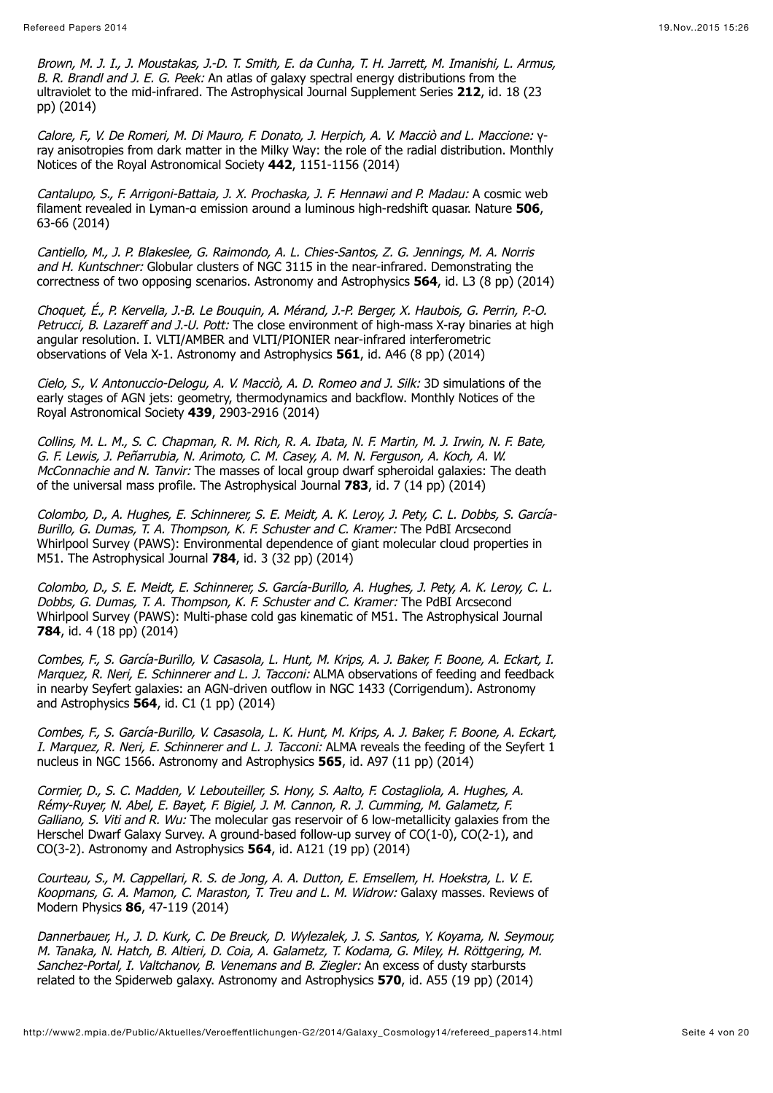Brown, M. J. I., J. Moustakas, J.-D. T. Smith, E. da Cunha, T. H. Jarrett, M. Imanishi, L. Armus, B. R. Brandl and J. E. G. Peek: An atlas of galaxy spectral energy distributions from the ultraviolet to the mid-infrared. The Astrophysical Journal Supplement Series **212**, id. 18 (23 pp) (2014)

Calore, F., V. De Romeri, M. Di Mauro, F. Donato, J. Herpich, A. V. Macciò and L. Maccione: γray anisotropies from dark matter in the Milky Way: the role of the radial distribution. Monthly Notices of the Royal Astronomical Society **442**, 1151-1156 (2014)

Cantalupo, S., F. Arrigoni-Battaia, J. X. Prochaska, J. F. Hennawi and P. Madau: A cosmic web filament revealed in Lyman-α emission around a luminous high-redshift quasar. Nature **506**, 63-66 (2014)

Cantiello, M., J. P. Blakeslee, G. Raimondo, A. L. Chies-Santos, Z. G. Jennings, M. A. Norris and H. Kuntschner: Globular clusters of NGC 3115 in the near-infrared. Demonstrating the correctness of two opposing scenarios. Astronomy and Astrophysics **564**, id. L3 (8 pp) (2014)

Choquet, É., P. Kervella, J.-B. Le Bouquin, A. Mérand, J.-P. Berger, X. Haubois, G. Perrin, P.-O. Petrucci, B. Lazareff and J.-U. Pott: The close environment of high-mass X-ray binaries at high angular resolution. I. VLTI/AMBER and VLTI/PIONIER near-infrared interferometric observations of Vela X-1. Astronomy and Astrophysics **561**, id. A46 (8 pp) (2014)

Cielo, S., V. Antonuccio-Delogu, A. V. Macciò, A. D. Romeo and J. Silk: 3D simulations of the early stages of AGN jets: geometry, thermodynamics and backflow. Monthly Notices of the Royal Astronomical Society **439**, 2903-2916 (2014)

Collins, M. L. M., S. C. Chapman, R. M. Rich, R. A. Ibata, N. F. Martin, M. J. Irwin, N. F. Bate, G. F. Lewis, J. Peñarrubia, N. Arimoto, C. M. Casey, A. M. N. Ferguson, A. Koch, A. W. McConnachie and N. Tanvir: The masses of local group dwarf spheroidal galaxies: The death of the universal mass profile. The Astrophysical Journal **783**, id. 7 (14 pp) (2014)

Colombo, D., A. Hughes, E. Schinnerer, S. E. Meidt, A. K. Leroy, J. Pety, C. L. Dobbs, S. García-Burillo, G. Dumas, T. A. Thompson, K. F. Schuster and C. Kramer: The PdBI Arcsecond Whirlpool Survey (PAWS): Environmental dependence of giant molecular cloud properties in M51. The Astrophysical Journal **784**, id. 3 (32 pp) (2014)

Colombo, D., S. E. Meidt, E. Schinnerer, S. García-Burillo, A. Hughes, J. Pety, A. K. Leroy, C. L. Dobbs, G. Dumas, T. A. Thompson, K. F. Schuster and C. Kramer: The PdBI Arcsecond Whirlpool Survey (PAWS): Multi-phase cold gas kinematic of M51. The Astrophysical Journal **784**, id. 4 (18 pp) (2014)

Combes, F., S. García-Burillo, V. Casasola, L. Hunt, M. Krips, A. J. Baker, F. Boone, A. Eckart, I. Marquez, R. Neri, E. Schinnerer and L. J. Tacconi: ALMA observations of feeding and feedback in nearby Seyfert galaxies: an AGN-driven outflow in NGC 1433 (Corrigendum). Astronomy and Astrophysics **564**, id. C1 (1 pp) (2014)

Combes, F., S. García-Burillo, V. Casasola, L. K. Hunt, M. Krips, A. J. Baker, F. Boone, A. Eckart, I. Marquez, R. Neri, E. Schinnerer and L. J. Tacconi: ALMA reveals the feeding of the Seyfert 1 nucleus in NGC 1566. Astronomy and Astrophysics **565**, id. A97 (11 pp) (2014)

Cormier, D., S. C. Madden, V. Lebouteiller, S. Hony, S. Aalto, F. Costagliola, A. Hughes, A. Rémy-Ruyer, N. Abel, E. Bayet, F. Bigiel, J. M. Cannon, R. J. Cumming, M. Galametz, F. Galliano, S. Viti and R. Wu: The molecular gas reservoir of 6 low-metallicity galaxies from the Herschel Dwarf Galaxy Survey. A ground-based follow-up survey of CO(1-0), CO(2-1), and CO(3-2). Astronomy and Astrophysics **564**, id. A121 (19 pp) (2014)

Courteau, S., M. Cappellari, R. S. de Jong, A. A. Dutton, E. Emsellem, H. Hoekstra, L. V. E. Koopmans, G. A. Mamon, C. Maraston, T. Treu and L. M. Widrow: Galaxy masses. Reviews of Modern Physics **86**, 47-119 (2014)

Dannerbauer, H., J. D. Kurk, C. De Breuck, D. Wylezalek, J. S. Santos, Y. Koyama, N. Seymour, M. Tanaka, N. Hatch, B. Altieri, D. Coia, A. Galametz, T. Kodama, G. Miley, H. Röttgering, M. Sanchez-Portal, I. Valtchanov, B. Venemans and B. Ziegler: An excess of dusty starbursts related to the Spiderweb galaxy. Astronomy and Astrophysics **570**, id. A55 (19 pp) (2014)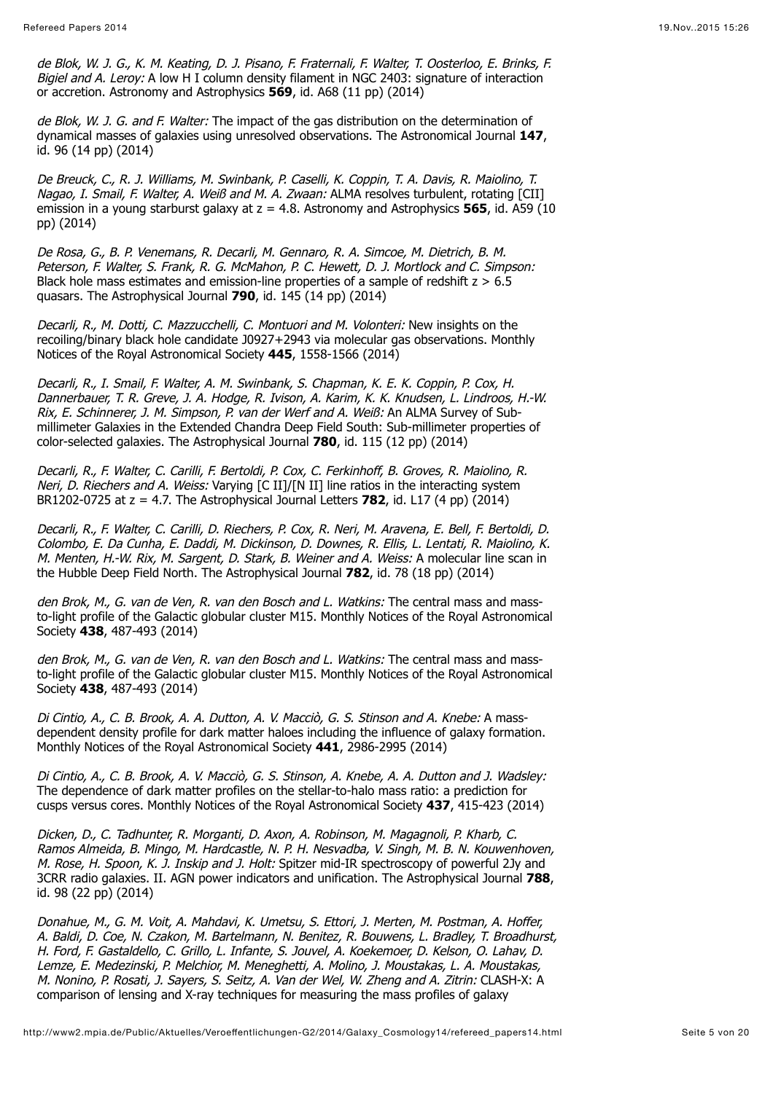de Blok, W. J. G., K. M. Keating, D. J. Pisano, F. Fraternali, F. Walter, T. Oosterloo, E. Brinks, F. Bigiel and A. Leroy: A low H I column density filament in NGC 2403: signature of interaction or accretion. Astronomy and Astrophysics **569**, id. A68 (11 pp) (2014)

de Blok, W. J. G. and F. Walter: The impact of the gas distribution on the determination of dynamical masses of galaxies using unresolved observations. The Astronomical Journal **147**, id. 96 (14 pp) (2014)

De Breuck, C., R. J. Williams, M. Swinbank, P. Caselli, K. Coppin, T. A. Davis, R. Maiolino, T. Nagao, I. Smail, F. Walter, A. Weiß and M. A. Zwaan: ALMA resolves turbulent, rotating [CII] emission in a young starburst galaxy at z = 4.8. Astronomy and Astrophysics **565**, id. A59 (10 pp) (2014)

De Rosa, G., B. P. Venemans, R. Decarli, M. Gennaro, R. A. Simcoe, M. Dietrich, B. M. Peterson, F. Walter, S. Frank, R. G. McMahon, P. C. Hewett, D. J. Mortlock and C. Simpson: Black hole mass estimates and emission-line properties of a sample of redshift  $z > 6.5$ quasars. The Astrophysical Journal **790**, id. 145 (14 pp) (2014)

Decarli, R., M. Dotti, C. Mazzucchelli, C. Montuori and M. Volonteri: New insights on the recoiling/binary black hole candidate J0927+2943 via molecular gas observations. Monthly Notices of the Royal Astronomical Society **445**, 1558-1566 (2014)

Decarli, R., I. Smail, F. Walter, A. M. Swinbank, S. Chapman, K. E. K. Coppin, P. Cox, H. Dannerbauer, T. R. Greve, J. A. Hodge, R. Ivison, A. Karim, K. K. Knudsen, L. Lindroos, H.-W. Rix, E. Schinnerer, J. M. Simpson, P. van der Werf and A. Weiß: An ALMA Survey of Submillimeter Galaxies in the Extended Chandra Deep Field South: Sub-millimeter properties of color-selected galaxies. The Astrophysical Journal **780**, id. 115 (12 pp) (2014)

Decarli, R., F. Walter, C. Carilli, F. Bertoldi, P. Cox, C. Ferkinhoff, B. Groves, R. Maiolino, R. Neri, D. Riechers and A. Weiss: Varving [C II]/[N II] line ratios in the interacting system BR1202-0725 at z = 4.7. The Astrophysical Journal Letters **782**, id. L17 (4 pp) (2014)

Decarli, R., F. Walter, C. Carilli, D. Riechers, P. Cox, R. Neri, M. Aravena, E. Bell, F. Bertoldi, D. Colombo, E. Da Cunha, E. Daddi, M. Dickinson, D. Downes, R. Ellis, L. Lentati, R. Maiolino, K. M. Menten, H.-W. Rix, M. Sargent, D. Stark, B. Weiner and A. Weiss: A molecular line scan in the Hubble Deep Field North. The Astrophysical Journal **782**, id. 78 (18 pp) (2014)

den Brok, M., G. van de Ven, R. van den Bosch and L. Watkins: The central mass and massto-light profile of the Galactic globular cluster M15. Monthly Notices of the Royal Astronomical Society **438**, 487-493 (2014)

den Brok, M., G. van de Ven, R. van den Bosch and L. Watkins: The central mass and massto-light profile of the Galactic globular cluster M15. Monthly Notices of the Royal Astronomical Society **438**, 487-493 (2014)

Di Cintio, A., C. B. Brook, A. A. Dutton, A. V. Macciò, G. S. Stinson and A. Knebe: A massdependent density profile for dark matter haloes including the influence of galaxy formation. Monthly Notices of the Royal Astronomical Society **441**, 2986-2995 (2014)

Di Cintio, A., C. B. Brook, A. V. Macciò, G. S. Stinson, A. Knebe, A. A. Dutton and J. Wadsley: The dependence of dark matter profiles on the stellar-to-halo mass ratio: a prediction for cusps versus cores. Monthly Notices of the Royal Astronomical Society **437**, 415-423 (2014)

Dicken, D., C. Tadhunter, R. Morganti, D. Axon, A. Robinson, M. Magagnoli, P. Kharb, C. Ramos Almeida, B. Mingo, M. Hardcastle, N. P. H. Nesvadba, V. Singh, M. B. N. Kouwenhoven, M. Rose, H. Spoon, K. J. Inskip and J. Holt: Spitzer mid-IR spectroscopy of powerful 2Jy and 3CRR radio galaxies. II. AGN power indicators and unification. The Astrophysical Journal **788**, id. 98 (22 pp) (2014)

Donahue, M., G. M. Voit, A. Mahdavi, K. Umetsu, S. Ettori, J. Merten, M. Postman, A. Hoffer, A. Baldi, D. Coe, N. Czakon, M. Bartelmann, N. Benitez, R. Bouwens, L. Bradley, T. Broadhurst, H. Ford, F. Gastaldello, C. Grillo, L. Infante, S. Jouvel, A. Koekemoer, D. Kelson, O. Lahav, D. Lemze, E. Medezinski, P. Melchior, M. Meneghetti, A. Molino, J. Moustakas, L. A. Moustakas, M. Nonino, P. Rosati, J. Sayers, S. Seitz, A. Van der Wel, W. Zheng and A. Zitrin: CLASH-X: A comparison of lensing and X-ray techniques for measuring the mass profiles of galaxy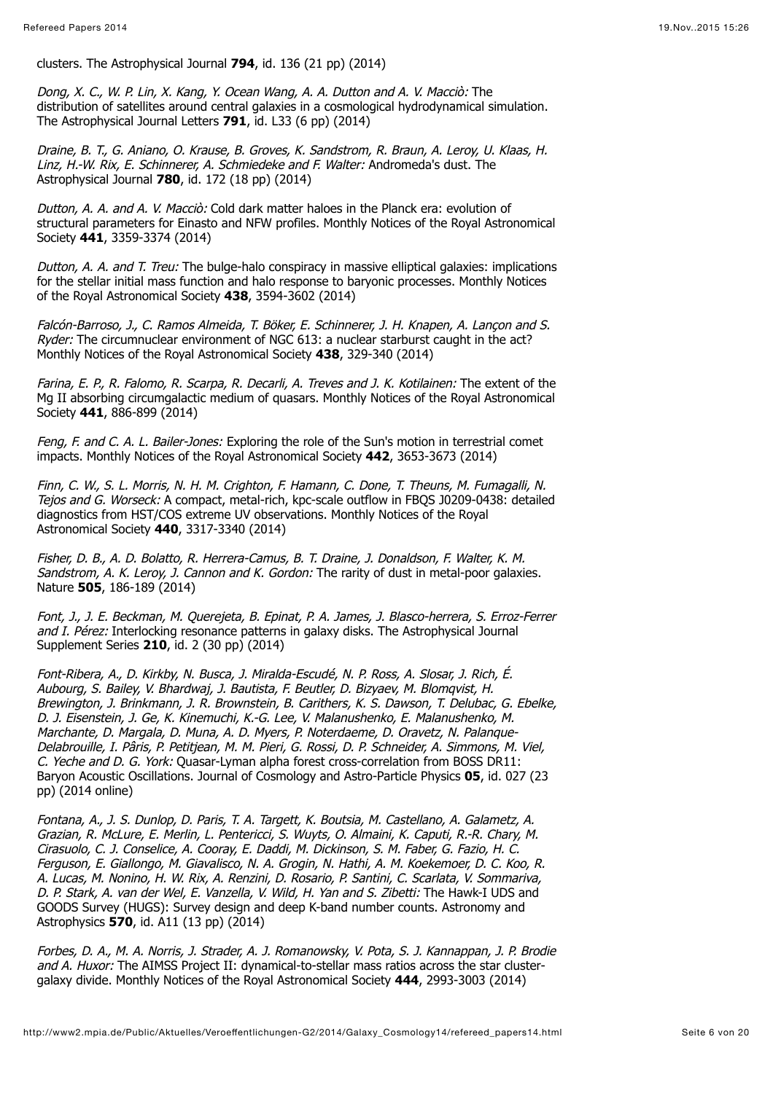clusters. The Astrophysical Journal **794**, id. 136 (21 pp) (2014)

Dong, X. C., W. P. Lin, X. Kang, Y. Ocean Wang, A. A. Dutton and A. V. Macciò: The distribution of satellites around central galaxies in a cosmological hydrodynamical simulation. The Astrophysical Journal Letters **791**, id. L33 (6 pp) (2014)

Draine, B. T., G. Aniano, O. Krause, B. Groves, K. Sandstrom, R. Braun, A. Leroy, U. Klaas, H. Linz, H.-W. Rix, E. Schinnerer, A. Schmiedeke and F. Walter: Andromeda's dust. The Astrophysical Journal **780**, id. 172 (18 pp) (2014)

Dutton, A. A. and A. V. Macciò: Cold dark matter haloes in the Planck era: evolution of structural parameters for Einasto and NFW profiles. Monthly Notices of the Royal Astronomical Society **441**, 3359-3374 (2014)

Dutton, A. A. and T. Treu: The bulge-halo conspiracy in massive elliptical galaxies: implications for the stellar initial mass function and halo response to baryonic processes. Monthly Notices of the Royal Astronomical Society **438**, 3594-3602 (2014)

Falcón-Barroso, J., C. Ramos Almeida, T. Böker, E. Schinnerer, J. H. Knapen, A. Lançon and S. Ryder: The circumnuclear environment of NGC 613: a nuclear starburst caught in the act? Monthly Notices of the Royal Astronomical Society **438**, 329-340 (2014)

Farina, E. P., R. Falomo, R. Scarpa, R. Decarli, A. Treves and J. K. Kotilainen: The extent of the Mg II absorbing circumgalactic medium of quasars. Monthly Notices of the Royal Astronomical Society **441**, 886-899 (2014)

Feng, F. and C. A. L. Bailer-Jones: Exploring the role of the Sun's motion in terrestrial comet impacts. Monthly Notices of the Royal Astronomical Society **442**, 3653-3673 (2014)

Finn, C. W., S. L. Morris, N. H. M. Crighton, F. Hamann, C. Done, T. Theuns, M. Fumagalli, N. Tejos and G. Worseck: A compact, metal-rich, kpc-scale outflow in FBQS J0209-0438: detailed diagnostics from HST/COS extreme UV observations. Monthly Notices of the Royal Astronomical Society **440**, 3317-3340 (2014)

Fisher, D. B., A. D. Bolatto, R. Herrera-Camus, B. T. Draine, J. Donaldson, F. Walter, K. M. Sandstrom, A. K. Leroy, J. Cannon and K. Gordon: The rarity of dust in metal-poor galaxies. Nature **505**, 186-189 (2014)

Font, J., J. E. Beckman, M. Querejeta, B. Epinat, P. A. James, J. Blasco-herrera, S. Erroz-Ferrer and I. Pérez: Interlocking resonance patterns in galaxy disks. The Astrophysical Journal Supplement Series **210**, id. 2 (30 pp) (2014)

Font-Ribera, A., D. Kirkby, N. Busca, J. Miralda-Escudé, N. P. Ross, A. Slosar, J. Rich, É. Aubourg, S. Bailey, V. Bhardwaj, J. Bautista, F. Beutler, D. Bizyaev, M. Blomqvist, H. Brewington, J. Brinkmann, J. R. Brownstein, B. Carithers, K. S. Dawson, T. Delubac, G. Ebelke, D. J. Eisenstein, J. Ge, K. Kinemuchi, K.-G. Lee, V. Malanushenko, E. Malanushenko, M. Marchante, D. Margala, D. Muna, A. D. Myers, P. Noterdaeme, D. Oravetz, N. Palanque-Delabrouille, I. Pâris, P. Petitjean, M. M. Pieri, G. Rossi, D. P. Schneider, A. Simmons, M. Viel, C. Yeche and D. G. York: Quasar-Lyman alpha forest cross-correlation from BOSS DR11: Baryon Acoustic Oscillations. Journal of Cosmology and Astro-Particle Physics **05**, id. 027 (23 pp) (2014 online)

Fontana, A., J. S. Dunlop, D. Paris, T. A. Targett, K. Boutsia, M. Castellano, A. Galametz, A. Grazian, R. McLure, E. Merlin, L. Pentericci, S. Wuyts, O. Almaini, K. Caputi, R.-R. Chary, M. Cirasuolo, C. J. Conselice, A. Cooray, E. Daddi, M. Dickinson, S. M. Faber, G. Fazio, H. C. Ferguson, E. Giallongo, M. Giavalisco, N. A. Grogin, N. Hathi, A. M. Koekemoer, D. C. Koo, R. A. Lucas, M. Nonino, H. W. Rix, A. Renzini, D. Rosario, P. Santini, C. Scarlata, V. Sommariva, D. P. Stark, A. van der Wel, E. Vanzella, V. Wild, H. Yan and S. Zibetti: The Hawk-I UDS and GOODS Survey (HUGS): Survey design and deep K-band number counts. Astronomy and Astrophysics **570**, id. A11 (13 pp) (2014)

Forbes, D. A., M. A. Norris, J. Strader, A. J. Romanowsky, V. Pota, S. J. Kannappan, J. P. Brodie and A. Huxor: The AIMSS Project II: dynamical-to-stellar mass ratios across the star clustergalaxy divide. Monthly Notices of the Royal Astronomical Society **444**, 2993-3003 (2014)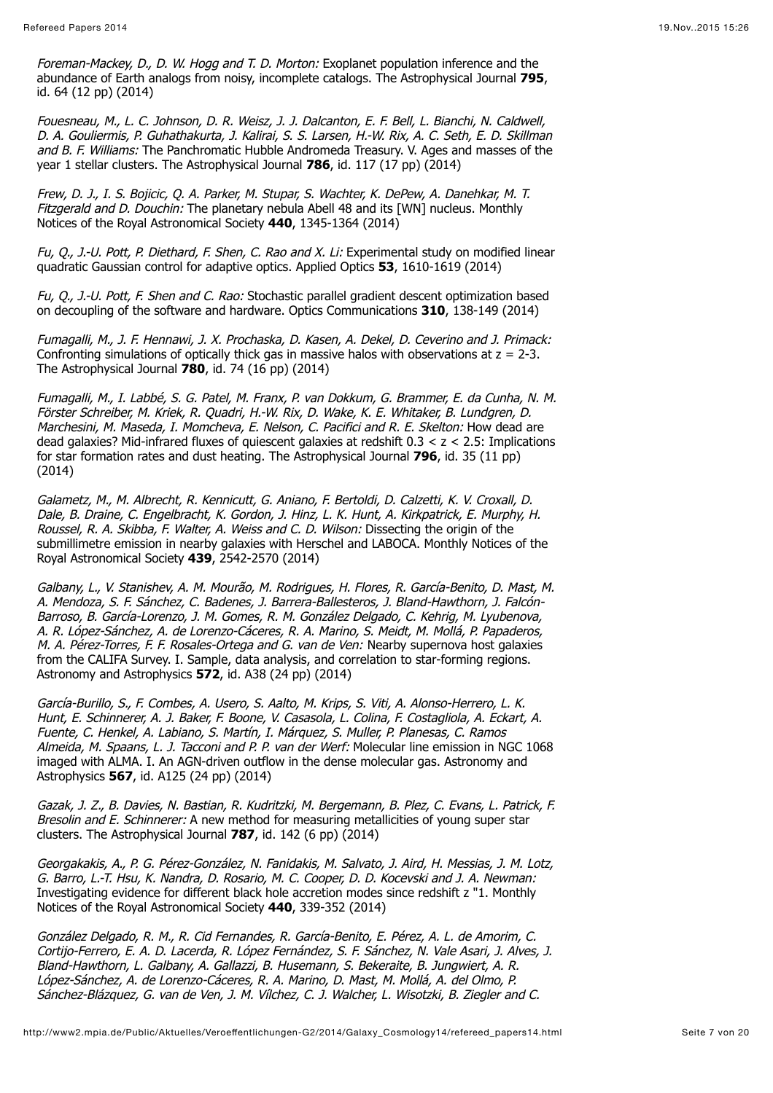Foreman-Mackey, D., D. W. Hogg and T. D. Morton: Exoplanet population inference and the abundance of Earth analogs from noisy, incomplete catalogs. The Astrophysical Journal **795**, id. 64 (12 pp) (2014)

Fouesneau, M., L. C. Johnson, D. R. Weisz, J. J. Dalcanton, E. F. Bell, L. Bianchi, N. Caldwell, D. A. Gouliermis, P. Guhathakurta, J. Kalirai, S. S. Larsen, H.-W. Rix, A. C. Seth, E. D. Skillman and B. F. Williams: The Panchromatic Hubble Andromeda Treasury. V. Ages and masses of the year 1 stellar clusters. The Astrophysical Journal **786**, id. 117 (17 pp) (2014)

Frew, D. J., I. S. Bojicic, Q. A. Parker, M. Stupar, S. Wachter, K. DePew, A. Danehkar, M. T. Fitzgerald and D. Douchin: The planetary nebula Abell 48 and its [WN] nucleus. Monthly Notices of the Royal Astronomical Society **440**, 1345-1364 (2014)

Fu, Q., J.-U. Pott, P. Diethard, F. Shen, C. Rao and X. Li: Experimental study on modified linear quadratic Gaussian control for adaptive optics. Applied Optics **53**, 1610-1619 (2014)

Fu, Q., J.-U. Pott, F. Shen and C. Rao: Stochastic parallel gradient descent optimization based on decoupling of the software and hardware. Optics Communications **310**, 138-149 (2014)

Fumagalli, M., J. F. Hennawi, J. X. Prochaska, D. Kasen, A. Dekel, D. Ceverino and J. Primack: Confronting simulations of optically thick gas in massive halos with observations at  $z = 2-3$ . The Astrophysical Journal **780**, id. 74 (16 pp) (2014)

Fumagalli, M., I. Labbé, S. G. Patel, M. Franx, P. van Dokkum, G. Brammer, E. da Cunha, N. M. Förster Schreiber, M. Kriek, R. Quadri, H.-W. Rix, D. Wake, K. E. Whitaker, B. Lundgren, D. Marchesini, M. Maseda, I. Momcheva, E. Nelson, C. Pacifici and R. E. Skelton: How dead are dead galaxies? Mid-infrared fluxes of quiescent galaxies at redshift  $0.3 < z < 2.5$ : Implications for star formation rates and dust heating. The Astrophysical Journal **796**, id. 35 (11 pp) (2014)

Galametz, M., M. Albrecht, R. Kennicutt, G. Aniano, F. Bertoldi, D. Calzetti, K. V. Croxall, D. Dale, B. Draine, C. Engelbracht, K. Gordon, J. Hinz, L. K. Hunt, A. Kirkpatrick, E. Murphy, H. Roussel, R. A. Skibba, F. Walter, A. Weiss and C. D. Wilson: Dissecting the origin of the submillimetre emission in nearby galaxies with Herschel and LABOCA. Monthly Notices of the Royal Astronomical Society **439**, 2542-2570 (2014)

Galbany, L., V. Stanishev, A. M. Mourão, M. Rodrigues, H. Flores, R. García-Benito, D. Mast, M. A. Mendoza, S. F. Sánchez, C. Badenes, J. Barrera-Ballesteros, J. Bland-Hawthorn, J. Falcón-Barroso, B. García-Lorenzo, J. M. Gomes, R. M. González Delgado, C. Kehrig, M. Lyubenova, A. R. López-Sánchez, A. de Lorenzo-Cáceres, R. A. Marino, S. Meidt, M. Mollá, P. Papaderos, M. A. Pérez-Torres, F. F. Rosales-Ortega and G. van de Ven: Nearby supernova host galaxies from the CALIFA Survey. I. Sample, data analysis, and correlation to star-forming regions. Astronomy and Astrophysics **572**, id. A38 (24 pp) (2014)

García-Burillo, S., F. Combes, A. Usero, S. Aalto, M. Krips, S. Viti, A. Alonso-Herrero, L. K. Hunt, E. Schinnerer, A. J. Baker, F. Boone, V. Casasola, L. Colina, F. Costagliola, A. Eckart, A. Fuente, C. Henkel, A. Labiano, S. Martín, I. Márquez, S. Muller, P. Planesas, C. Ramos Almeida, M. Spaans, L. J. Tacconi and P. P. van der Werf: Molecular line emission in NGC 1068 imaged with ALMA. I. An AGN-driven outflow in the dense molecular gas. Astronomy and Astrophysics **567**, id. A125 (24 pp) (2014)

Gazak, J. Z., B. Davies, N. Bastian, R. Kudritzki, M. Bergemann, B. Plez, C. Evans, L. Patrick, F. Bresolin and E. Schinnerer: A new method for measuring metallicities of young super star clusters. The Astrophysical Journal **787**, id. 142 (6 pp) (2014)

Georgakakis, A., P. G. Pérez-González, N. Fanidakis, M. Salvato, J. Aird, H. Messias, J. M. Lotz, G. Barro, L.-T. Hsu, K. Nandra, D. Rosario, M. C. Cooper, D. D. Kocevski and J. A. Newman: Investigating evidence for different black hole accretion modes since redshift z "1. Monthly Notices of the Royal Astronomical Society **440**, 339-352 (2014)

González Delgado, R. M., R. Cid Fernandes, R. García-Benito, E. Pérez, A. L. de Amorim, C. Cortijo-Ferrero, E. A. D. Lacerda, R. López Fernández, S. F. Sánchez, N. Vale Asari, J. Alves, J. Bland-Hawthorn, L. Galbany, A. Gallazzi, B. Husemann, S. Bekeraite, B. Jungwiert, A. R. López-Sánchez, A. de Lorenzo-Cáceres, R. A. Marino, D. Mast, M. Mollá, A. del Olmo, P. Sánchez-Blázquez, G. van de Ven, J. M. Vílchez, C. J. Walcher, L. Wisotzki, B. Ziegler and C.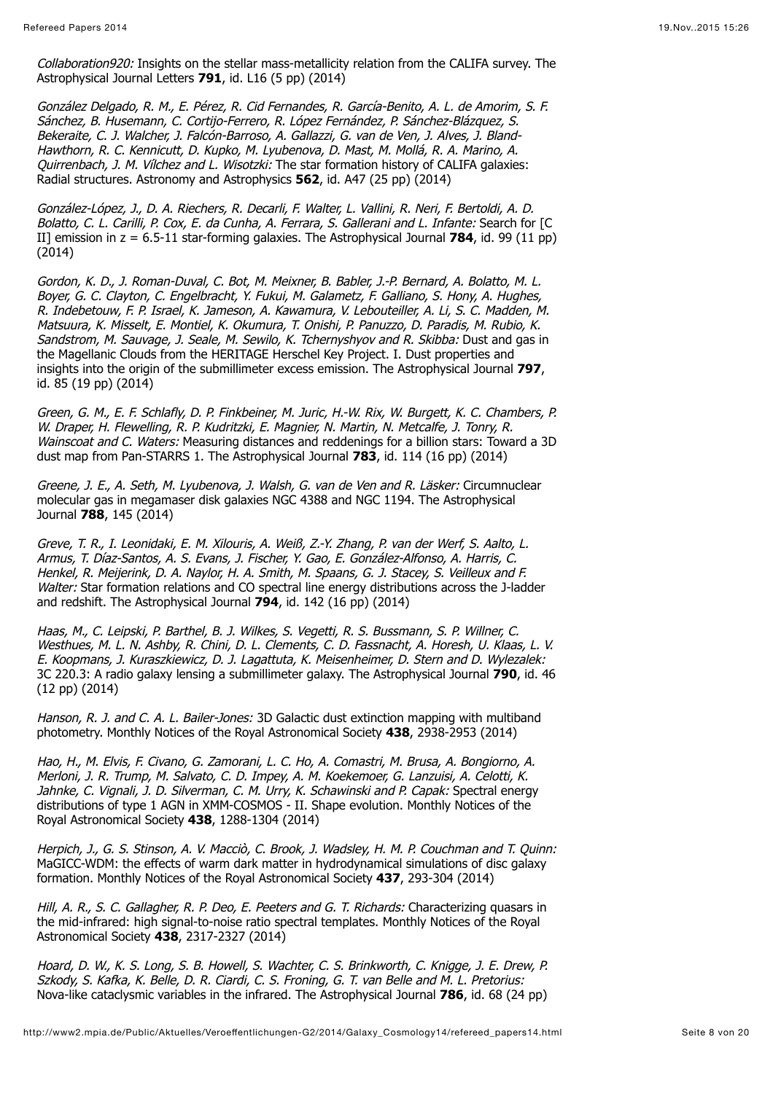Collaboration920: Insights on the stellar mass-metallicity relation from the CALIFA survey. The Astrophysical Journal Letters **791**, id. L16 (5 pp) (2014)

González Delgado, R. M., E. Pérez, R. Cid Fernandes, R. García-Benito, A. L. de Amorim, S. F. Sánchez, B. Husemann, C. Cortijo-Ferrero, R. López Fernández, P. Sánchez-Blázquez, S. Bekeraite, C. J. Walcher, J. Falcón-Barroso, A. Gallazzi, G. van de Ven, J. Alves, J. Bland-Hawthorn, R. C. Kennicutt, D. Kupko, M. Lyubenova, D. Mast, M. Mollá, R. A. Marino, A. Quirrenbach, J. M. Vílchez and L. Wisotzki: The star formation history of CALIFA galaxies: Radial structures. Astronomy and Astrophysics **562**, id. A47 (25 pp) (2014)

González-López, J., D. A. Riechers, R. Decarli, F. Walter, L. Vallini, R. Neri, F. Bertoldi, A. D. Bolatto, C. L. Carilli, P. Cox, E. da Cunha, A. Ferrara, S. Gallerani and L. Infante: Search for [C II] emission in z = 6.5-11 star-forming galaxies. The Astrophysical Journal **784**, id. 99 (11 pp) (2014)

Gordon, K. D., J. Roman-Duval, C. Bot, M. Meixner, B. Babler, J.-P. Bernard, A. Bolatto, M. L. Boyer, G. C. Clayton, C. Engelbracht, Y. Fukui, M. Galametz, F. Galliano, S. Hony, A. Hughes, R. Indebetouw, F. P. Israel, K. Jameson, A. Kawamura, V. Lebouteiller, A. Li, S. C. Madden, M. Matsuura, K. Misselt, E. Montiel, K. Okumura, T. Onishi, P. Panuzzo, D. Paradis, M. Rubio, K. Sandstrom, M. Sauvage, J. Seale, M. Sewilo, K. Tchernyshyov and R. Skibba: Dust and gas in the Magellanic Clouds from the HERITAGE Herschel Key Project. I. Dust properties and insights into the origin of the submillimeter excess emission. The Astrophysical Journal **797**, id. 85 (19 pp) (2014)

Green, G. M., E. F. Schlafly, D. P. Finkbeiner, M. Juric, H.-W. Rix, W. Burgett, K. C. Chambers, P. W. Draper, H. Flewelling, R. P. Kudritzki, E. Magnier, N. Martin, N. Metcalfe, J. Tonry, R. Wainscoat and C. Waters: Measuring distances and reddenings for a billion stars: Toward a 3D dust map from Pan-STARRS 1. The Astrophysical Journal **783**, id. 114 (16 pp) (2014)

Greene, J. E., A. Seth, M. Lyubenova, J. Walsh, G. van de Ven and R. Läsker: Circumnuclear molecular gas in megamaser disk galaxies NGC 4388 and NGC 1194. The Astrophysical Journal **788**, 145 (2014)

Greve, T. R., I. Leonidaki, E. M. Xilouris, A. Weiß, Z.-Y. Zhang, P. van der Werf, S. Aalto, L. Armus, T. Díaz-Santos, A. S. Evans, J. Fischer, Y. Gao, E. González-Alfonso, A. Harris, C. Henkel, R. Meijerink, D. A. Naylor, H. A. Smith, M. Spaans, G. J. Stacey, S. Veilleux and F. Walter: Star formation relations and CO spectral line energy distributions across the J-ladder and redshift. The Astrophysical Journal **794**, id. 142 (16 pp) (2014)

Haas, M., C. Leipski, P. Barthel, B. J. Wilkes, S. Vegetti, R. S. Bussmann, S. P. Willner, C. Westhues, M. L. N. Ashby, R. Chini, D. L. Clements, C. D. Fassnacht, A. Horesh, U. Klaas, L. V. E. Koopmans, J. Kuraszkiewicz, D. J. Lagattuta, K. Meisenheimer, D. Stern and D. Wylezalek: 3C 220.3: A radio galaxy lensing a submillimeter galaxy. The Astrophysical Journal **790**, id. 46 (12 pp) (2014)

Hanson, R. J. and C. A. L. Bailer-Jones: 3D Galactic dust extinction mapping with multiband photometry. Monthly Notices of the Royal Astronomical Society **438**, 2938-2953 (2014)

Hao, H., M. Elvis, F. Civano, G. Zamorani, L. C. Ho, A. Comastri, M. Brusa, A. Bongiorno, A. Merloni, J. R. Trump, M. Salvato, C. D. Impey, A. M. Koekemoer, G. Lanzuisi, A. Celotti, K. Jahnke, C. Vignali, J. D. Silverman, C. M. Urry, K. Schawinski and P. Capak: Spectral energy distributions of type 1 AGN in XMM-COSMOS - II. Shape evolution. Monthly Notices of the Royal Astronomical Society **438**, 1288-1304 (2014)

Herpich, J., G. S. Stinson, A. V. Macciò, C. Brook, J. Wadsley, H. M. P. Couchman and T. Quinn: MaGICC-WDM: the effects of warm dark matter in hydrodynamical simulations of disc galaxy formation. Monthly Notices of the Royal Astronomical Society **437**, 293-304 (2014)

Hill, A. R., S. C. Gallagher, R. P. Deo, E. Peeters and G. T. Richards: Characterizing quasars in the mid-infrared: high signal-to-noise ratio spectral templates. Monthly Notices of the Royal Astronomical Society **438**, 2317-2327 (2014)

Hoard, D. W., K. S. Long, S. B. Howell, S. Wachter, C. S. Brinkworth, C. Knigge, J. E. Drew, P. Szkody, S. Kafka, K. Belle, D. R. Ciardi, C. S. Froning, G. T. van Belle and M. L. Pretorius: Nova-like cataclysmic variables in the infrared. The Astrophysical Journal **786**, id. 68 (24 pp)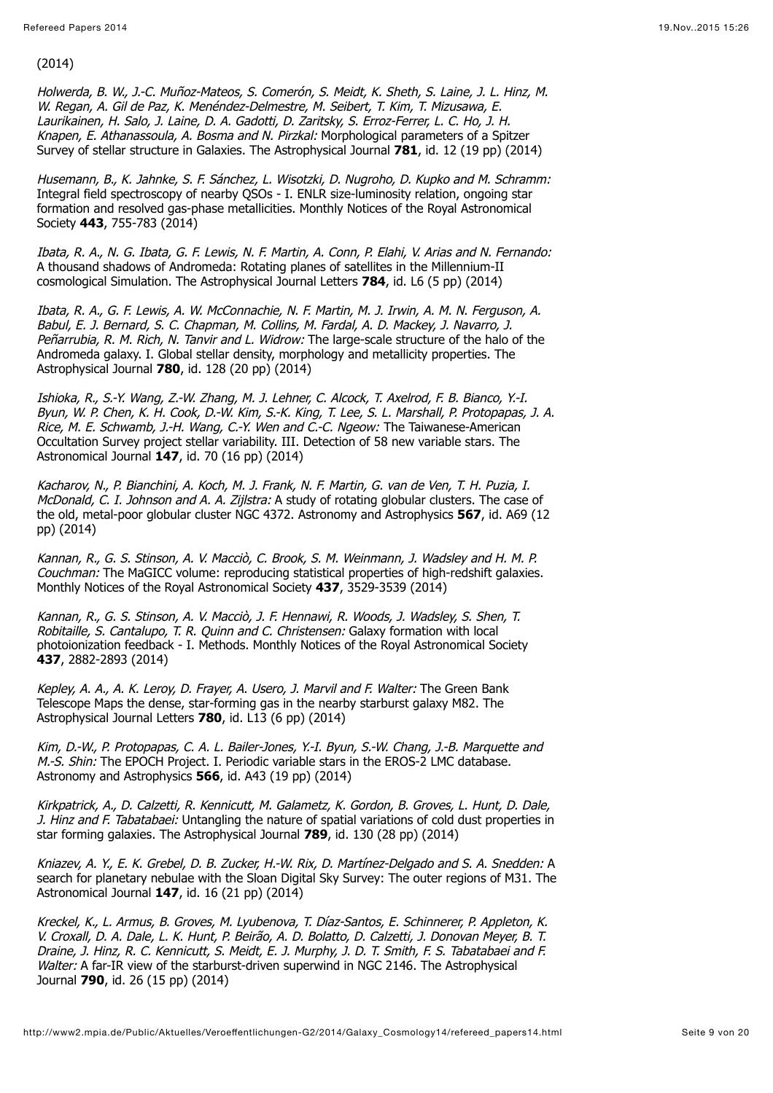(2014)

Holwerda, B. W., J.-C. Muñoz-Mateos, S. Comerón, S. Meidt, K. Sheth, S. Laine, J. L. Hinz, M. W. Regan, A. Gil de Paz, K. Menéndez-Delmestre, M. Seibert, T. Kim, T. Mizusawa, E. Laurikainen, H. Salo, J. Laine, D. A. Gadotti, D. Zaritsky, S. Erroz-Ferrer, L. C. Ho, J. H. Knapen, E. Athanassoula, A. Bosma and N. Pirzkal: Morphological parameters of a Spitzer Survey of stellar structure in Galaxies. The Astrophysical Journal **781**, id. 12 (19 pp) (2014)

Husemann, B., K. Jahnke, S. F. Sánchez, L. Wisotzki, D. Nugroho, D. Kupko and M. Schramm: Integral field spectroscopy of nearby QSOs - I. ENLR size-luminosity relation, ongoing star formation and resolved gas-phase metallicities. Monthly Notices of the Royal Astronomical Society **443**, 755-783 (2014)

Ibata, R. A., N. G. Ibata, G. F. Lewis, N. F. Martin, A. Conn, P. Elahi, V. Arias and N. Fernando: A thousand shadows of Andromeda: Rotating planes of satellites in the Millennium-II cosmological Simulation. The Astrophysical Journal Letters **784**, id. L6 (5 pp) (2014)

Ibata, R. A., G. F. Lewis, A. W. McConnachie, N. F. Martin, M. J. Irwin, A. M. N. Ferguson, A. Babul, E. J. Bernard, S. C. Chapman, M. Collins, M. Fardal, A. D. Mackey, J. Navarro, J. Peñarrubia, R. M. Rich, N. Tanvir and L. Widrow: The large-scale structure of the halo of the Andromeda galaxy. I. Global stellar density, morphology and metallicity properties. The Astrophysical Journal **780**, id. 128 (20 pp) (2014)

Ishioka, R., S.-Y. Wang, Z.-W. Zhang, M. J. Lehner, C. Alcock, T. Axelrod, F. B. Bianco, Y.-I. Byun, W. P. Chen, K. H. Cook, D.-W. Kim, S.-K. King, T. Lee, S. L. Marshall, P. Protopapas, J. A. Rice, M. E. Schwamb, J.-H. Wang, C.-Y. Wen and C.-C. Ngeow: The Taiwanese-American Occultation Survey project stellar variability. III. Detection of 58 new variable stars. The Astronomical Journal **147**, id. 70 (16 pp) (2014)

Kacharov, N., P. Bianchini, A. Koch, M. J. Frank, N. F. Martin, G. van de Ven, T. H. Puzia, I. McDonald, C. I. Johnson and A. A. Zijlstra: A study of rotating globular clusters. The case of the old, metal-poor globular cluster NGC 4372. Astronomy and Astrophysics **567**, id. A69 (12 pp) (2014)

Kannan, R., G. S. Stinson, A. V. Macciò, C. Brook, S. M. Weinmann, J. Wadsley and H. M. P. Couchman: The MaGICC volume: reproducing statistical properties of high-redshift galaxies. Monthly Notices of the Royal Astronomical Society **437**, 3529-3539 (2014)

Kannan, R., G. S. Stinson, A. V. Macciò, J. F. Hennawi, R. Woods, J. Wadsley, S. Shen, T. Robitaille, S. Cantalupo, T. R. Quinn and C. Christensen: Galaxy formation with local photoionization feedback - I. Methods. Monthly Notices of the Royal Astronomical Society **437**, 2882-2893 (2014)

Kepley, A. A., A. K. Leroy, D. Frayer, A. Usero, J. Marvil and F. Walter: The Green Bank Telescope Maps the dense, star-forming gas in the nearby starburst galaxy M82. The Astrophysical Journal Letters **780**, id. L13 (6 pp) (2014)

Kim, D.-W., P. Protopapas, C. A. L. Bailer-Jones, Y.-I. Byun, S.-W. Chang, J.-B. Marquette and M.-S. Shin: The EPOCH Project. I. Periodic variable stars in the EROS-2 LMC database. Astronomy and Astrophysics **566**, id. A43 (19 pp) (2014)

Kirkpatrick, A., D. Calzetti, R. Kennicutt, M. Galametz, K. Gordon, B. Groves, L. Hunt, D. Dale, J. Hinz and F. Tabatabaei: Untangling the nature of spatial variations of cold dust properties in star forming galaxies. The Astrophysical Journal **789**, id. 130 (28 pp) (2014)

Kniazev, A. Y., E. K. Grebel, D. B. Zucker, H.-W. Rix, D. Martínez-Delgado and S. A. Snedden: A search for planetary nebulae with the Sloan Digital Sky Survey: The outer regions of M31. The Astronomical Journal **147**, id. 16 (21 pp) (2014)

Kreckel, K., L. Armus, B. Groves, M. Lyubenova, T. Díaz-Santos, E. Schinnerer, P. Appleton, K. V. Croxall, D. A. Dale, L. K. Hunt, P. Beirão, A. D. Bolatto, D. Calzetti, J. Donovan Meyer, B. T. Draine, J. Hinz, R. C. Kennicutt, S. Meidt, E. J. Murphy, J. D. T. Smith, F. S. Tabatabaei and F. Walter: A far-IR view of the starburst-driven superwind in NGC 2146. The Astrophysical Journal **790**, id. 26 (15 pp) (2014)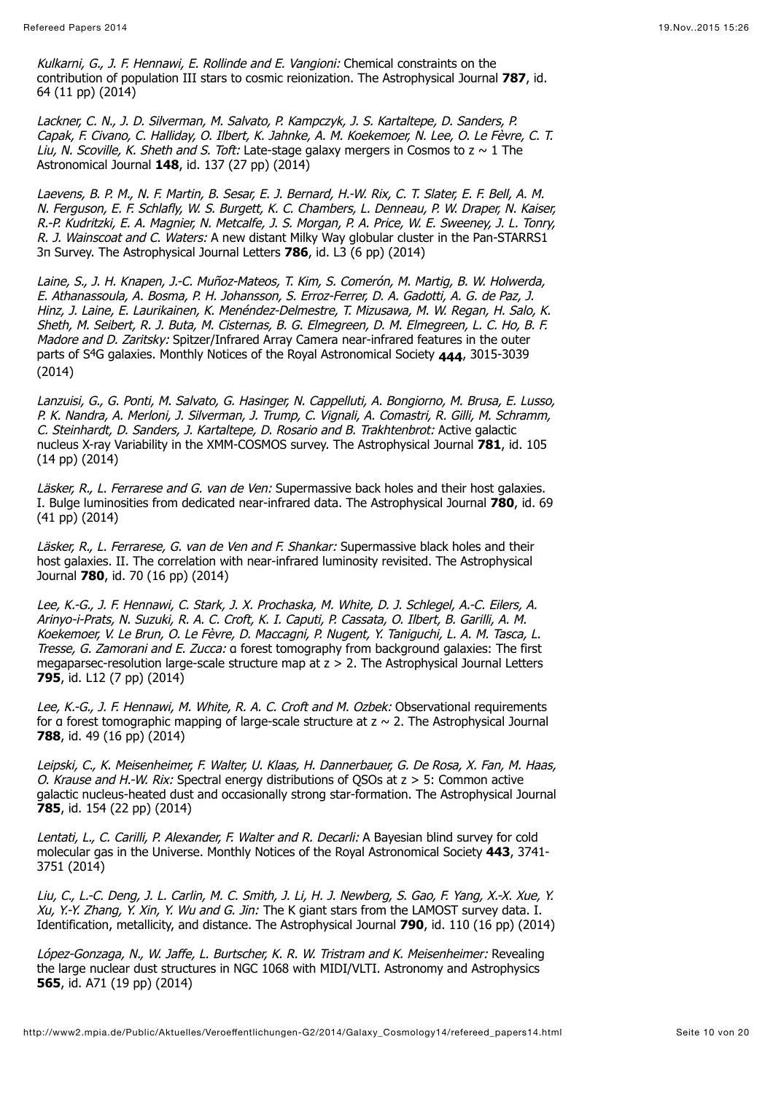Kulkarni, G., J. F. Hennawi, E. Rollinde and E. Vangioni: Chemical constraints on the contribution of population III stars to cosmic reionization. The Astrophysical Journal **787**, id. 64 (11 pp) (2014)

Lackner, C. N., J. D. Silverman, M. Salvato, P. Kampczyk, J. S. Kartaltepe, D. Sanders, P. Capak, F. Civano, C. Halliday, O. Ilbert, K. Jahnke, A. M. Koekemoer, N. Lee, O. Le Fèvre, C. T. Liu, N. Scoville, K. Sheth and S. Toft: Late-stage galaxy mergers in Cosmos to  $z \sim 1$  The Astronomical Journal **148**, id. 137 (27 pp) (2014)

Laevens, B. P. M., N. F. Martin, B. Sesar, E. J. Bernard, H.-W. Rix, C. T. Slater, E. F. Bell, A. M. N. Ferguson, E. F. Schlafly, W. S. Burgett, K. C. Chambers, L. Denneau, P. W. Draper, N. Kaiser, R.-P. Kudritzki, E. A. Magnier, N. Metcalfe, J. S. Morgan, P. A. Price, W. E. Sweeney, J. L. Tonry, R. J. Wainscoat and C. Waters: A new distant Milky Way globular cluster in the Pan-STARRS1 3π Survey. The Astrophysical Journal Letters **786**, id. L3 (6 pp) (2014)

Laine, S., J. H. Knapen, J.-C. Muñoz-Mateos, T. Kim, S. Comerón, M. Martig, B. W. Holwerda, E. Athanassoula, A. Bosma, P. H. Johansson, S. Erroz-Ferrer, D. A. Gadotti, A. G. de Paz, J. Hinz, J. Laine, E. Laurikainen, K. Menéndez-Delmestre, T. Mizusawa, M. W. Regan, H. Salo, K. Sheth, M. Seibert, R. J. Buta, M. Cisternas, B. G. Elmegreen, D. M. Elmegreen, L. C. Ho, B. F. Madore and D. Zaritsky: Spitzer/Infrared Array Camera near-infrared features in the outer parts of S4G galaxies. Monthly Notices of the Royal Astronomical Society **444**, 3015-3039 (2014)

Lanzuisi, G., G. Ponti, M. Salvato, G. Hasinger, N. Cappelluti, A. Bongiorno, M. Brusa, E. Lusso, P. K. Nandra, A. Merloni, J. Silverman, J. Trump, C. Vignali, A. Comastri, R. Gilli, M. Schramm, C. Steinhardt, D. Sanders, J. Kartaltepe, D. Rosario and B. Trakhtenbrot: Active galactic nucleus X-ray Variability in the XMM-COSMOS survey. The Astrophysical Journal **781**, id. 105 (14 pp) (2014)

Läsker, R., L. Ferrarese and G. van de Ven: Supermassive back holes and their host galaxies. I. Bulge luminosities from dedicated near-infrared data. The Astrophysical Journal **780**, id. 69 (41 pp) (2014)

Läsker, R., L. Ferrarese, G. van de Ven and F. Shankar: Supermassive black holes and their host galaxies. II. The correlation with near-infrared luminosity revisited. The Astrophysical Journal **780**, id. 70 (16 pp) (2014)

Lee, K.-G., J. F. Hennawi, C. Stark, J. X. Prochaska, M. White, D. J. Schlegel, A.-C. Eilers, A. Arinyo-i-Prats, N. Suzuki, R. A. C. Croft, K. I. Caputi, P. Cassata, O. Ilbert, B. Garilli, A. M. Koekemoer, V. Le Brun, O. Le Fèvre, D. Maccagni, P. Nugent, Y. Taniguchi, L. A. M. Tasca, L. Tresse, G. Zamorani and E. Zucca: α forest tomography from background galaxies: The first megaparsec-resolution large-scale structure map at  $z > 2$ . The Astrophysical Journal Letters **795**, id. L12 (7 pp) (2014)

Lee, K.-G., J. F. Hennawi, M. White, R. A. C. Croft and M. Ozbek: Observational requirements for a forest tomographic mapping of large-scale structure at  $z \sim 2$ . The Astrophysical Journal **788**, id. 49 (16 pp) (2014)

Leipski, C., K. Meisenheimer, F. Walter, U. Klaas, H. Dannerbauer, G. De Rosa, X. Fan, M. Haas, *O. Krause and H.-W. Rix:* Spectral energy distributions of OSOs at  $z > 5$ : Common active galactic nucleus-heated dust and occasionally strong star-formation. The Astrophysical Journal **785**, id. 154 (22 pp) (2014)

Lentati, L., C. Carilli, P. Alexander, F. Walter and R. Decarli: A Bayesian blind survey for cold molecular gas in the Universe. Monthly Notices of the Royal Astronomical Society **443**, 3741- 3751 (2014)

Liu, C., L.-C. Deng, J. L. Carlin, M. C. Smith, J. Li, H. J. Newberg, S. Gao, F. Yang, X.-X. Xue, Y. Xu, Y.-Y. Zhang, Y. Xin, Y. Wu and G. Jin: The K giant stars from the LAMOST survey data. I. Identification, metallicity, and distance. The Astrophysical Journal **790**, id. 110 (16 pp) (2014)

López-Gonzaga, N., W. Jaffe, L. Burtscher, K. R. W. Tristram and K. Meisenheimer: Revealing the large nuclear dust structures in NGC 1068 with MIDI/VLTI. Astronomy and Astrophysics **565**, id. A71 (19 pp) (2014)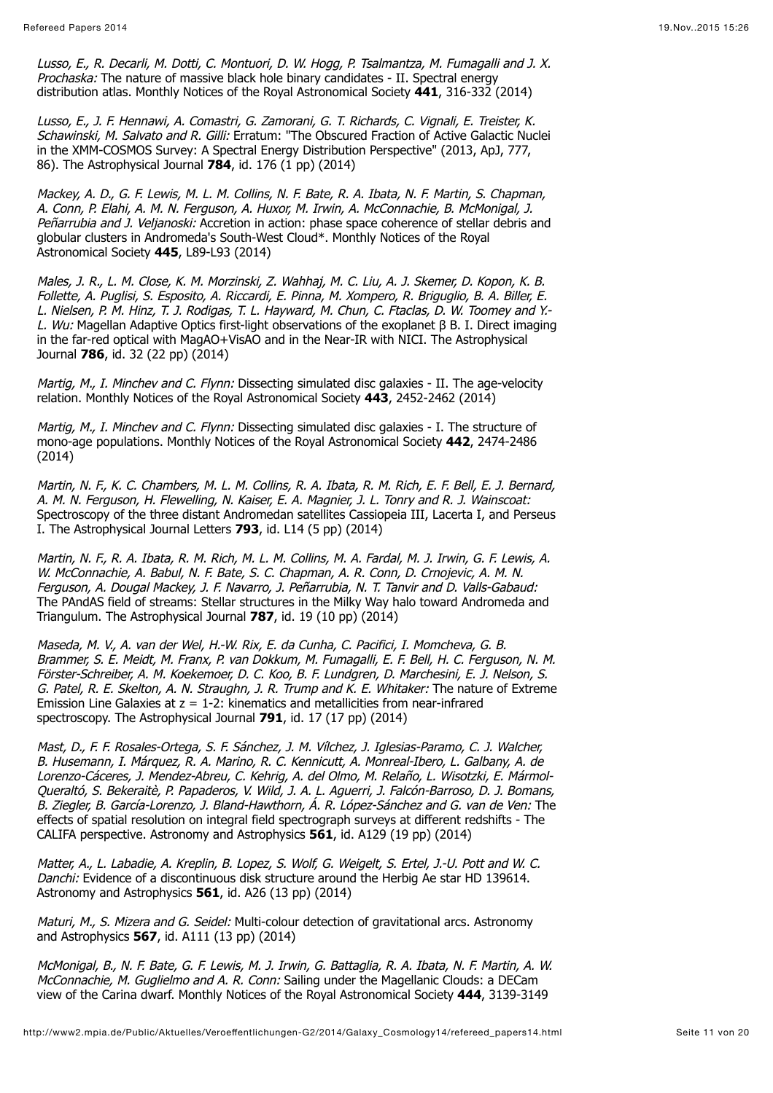Lusso, E., R. Decarli, M. Dotti, C. Montuori, D. W. Hogg, P. Tsalmantza, M. Fumagalli and J. X. Prochaska: The nature of massive black hole binary candidates - II. Spectral energy distribution atlas. Monthly Notices of the Royal Astronomical Society **441**, 316-332 (2014)

Lusso, E., J. F. Hennawi, A. Comastri, G. Zamorani, G. T. Richards, C. Vignali, E. Treister, K. Schawinski, M. Salvato and R. Gilli: Erratum: "The Obscured Fraction of Active Galactic Nuclei in the XMM-COSMOS Survey: A Spectral Energy Distribution Perspective" (2013, ApJ, 777, 86). The Astrophysical Journal **784**, id. 176 (1 pp) (2014)

Mackey, A. D., G. F. Lewis, M. L. M. Collins, N. F. Bate, R. A. Ibata, N. F. Martin, S. Chapman, A. Conn, P. Elahi, A. M. N. Ferguson, A. Huxor, M. Irwin, A. McConnachie, B. McMonigal, J. Peñarrubia and J. Veljanoski: Accretion in action: phase space coherence of stellar debris and globular clusters in Andromeda's South-West Cloud\*. Monthly Notices of the Royal Astronomical Society **445**, L89-L93 (2014)

Males, J. R., L. M. Close, K. M. Morzinski, Z. Wahhaj, M. C. Liu, A. J. Skemer, D. Kopon, K. B. Follette, A. Puglisi, S. Esposito, A. Riccardi, E. Pinna, M. Xompero, R. Briguglio, B. A. Biller, E. L. Nielsen, P. M. Hinz, T. J. Rodigas, T. L. Hayward, M. Chun, C. Ftaclas, D. W. Toomey and Y.- L. Wu: Magellan Adaptive Optics first-light observations of the exoplanet β B. I. Direct imaging in the far-red optical with MagAO+VisAO and in the Near-IR with NICI. The Astrophysical Journal **786**, id. 32 (22 pp) (2014)

Martig, M., I. Minchev and C. Flynn: Dissecting simulated disc galaxies - II. The age-velocity relation. Monthly Notices of the Royal Astronomical Society **443**, 2452-2462 (2014)

Martig, M., I. Minchey and C. Flynn: Dissecting simulated disc galaxies - I. The structure of mono-age populations. Monthly Notices of the Royal Astronomical Society **442**, 2474-2486 (2014)

Martin, N. F., K. C. Chambers, M. L. M. Collins, R. A. Ibata, R. M. Rich, E. F. Bell, E. J. Bernard, A. M. N. Ferguson, H. Flewelling, N. Kaiser, E. A. Magnier, J. L. Tonry and R. J. Wainscoat: Spectroscopy of the three distant Andromedan satellites Cassiopeia III, Lacerta I, and Perseus I. The Astrophysical Journal Letters **793**, id. L14 (5 pp) (2014)

Martin, N. F., R. A. Ibata, R. M. Rich, M. L. M. Collins, M. A. Fardal, M. J. Irwin, G. F. Lewis, A. W. McConnachie, A. Babul, N. F. Bate, S. C. Chapman, A. R. Conn, D. Crnojevic, A. M. N. Ferguson, A. Dougal Mackey, J. F. Navarro, J. Peñarrubia, N. T. Tanvir and D. Valls-Gabaud: The PAndAS field of streams: Stellar structures in the Milky Way halo toward Andromeda and Triangulum. The Astrophysical Journal **787**, id. 19 (10 pp) (2014)

Maseda, M. V., A. van der Wel, H.-W. Rix, E. da Cunha, C. Pacifici, I. Momcheva, G. B. Brammer, S. E. Meidt, M. Franx, P. van Dokkum, M. Fumagalli, E. F. Bell, H. C. Ferguson, N. M. Förster-Schreiber, A. M. Koekemoer, D. C. Koo, B. F. Lundgren, D. Marchesini, E. J. Nelson, S. G. Patel, R. E. Skelton, A. N. Straughn, J. R. Trump and K. E. Whitaker: The nature of Extreme Emission Line Galaxies at  $z = 1-2$ : kinematics and metallicities from near-infrared spectroscopy. The Astrophysical Journal **791**, id. 17 (17 pp) (2014)

Mast, D., F. F. Rosales-Ortega, S. F. Sánchez, J. M. Vílchez, J. Iglesias-Paramo, C. J. Walcher, B. Husemann, I. Márquez, R. A. Marino, R. C. Kennicutt, A. Monreal-Ibero, L. Galbany, A. de Lorenzo-Cáceres, J. Mendez-Abreu, C. Kehrig, A. del Olmo, M. Relaño, L. Wisotzki, E. Mármol-Queraltó, S. Bekeraitè, P. Papaderos, V. Wild, J. A. L. Aguerri, J. Falcón-Barroso, D. J. Bomans, B. Ziegler, B. García-Lorenzo, J. Bland-Hawthorn, Á. R. López-Sánchez and G. van de Ven: The effects of spatial resolution on integral field spectrograph surveys at different redshifts - The CALIFA perspective. Astronomy and Astrophysics **561**, id. A129 (19 pp) (2014)

Matter, A., L. Labadie, A. Kreplin, B. Lopez, S. Wolf, G. Weigelt, S. Ertel, J.-U. Pott and W. C. Danchi: Evidence of a discontinuous disk structure around the Herbig Ae star HD 139614. Astronomy and Astrophysics **561**, id. A26 (13 pp) (2014)

Maturi, M., S. Mizera and G. Seidel: Multi-colour detection of gravitational arcs. Astronomy and Astrophysics **567**, id. A111 (13 pp) (2014)

McMonigal, B., N. F. Bate, G. F. Lewis, M. J. Irwin, G. Battaglia, R. A. Ibata, N. F. Martin, A. W. McConnachie, M. Guglielmo and A. R. Conn: Sailing under the Magellanic Clouds: a DECam view of the Carina dwarf. Monthly Notices of the Royal Astronomical Society **444**, 3139-3149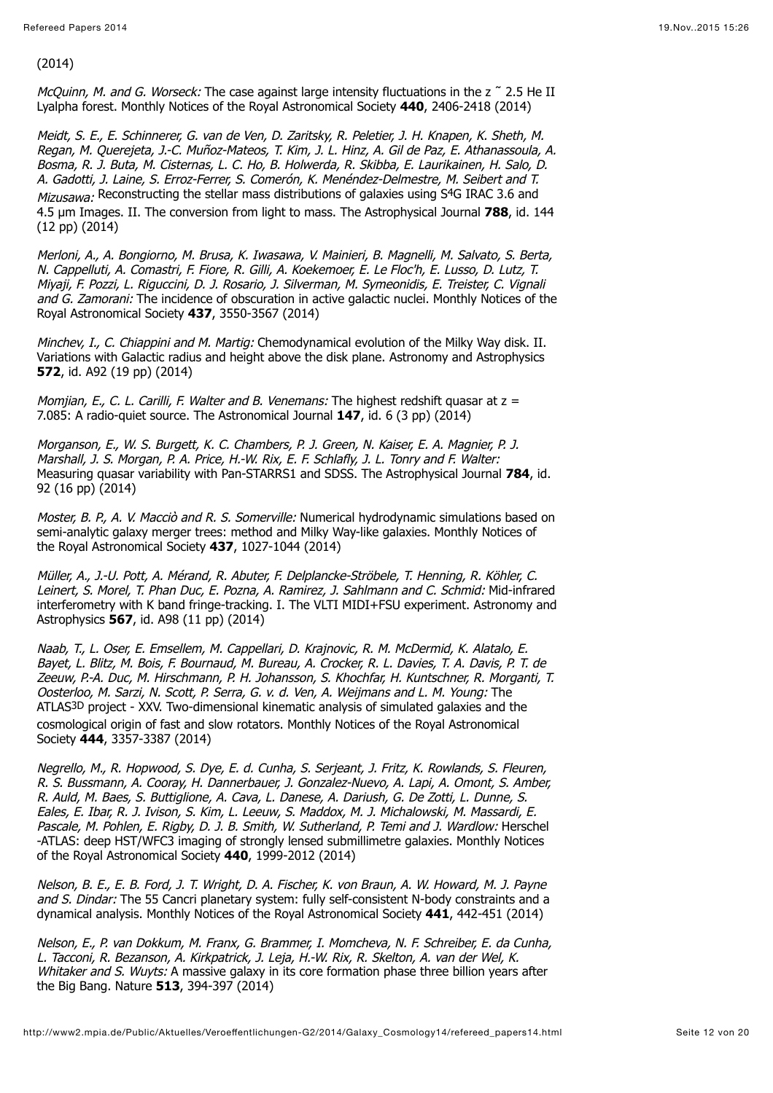(2014)

McQuinn, M. and G. Worseck: The case against large intensity fluctuations in the  $z \degree 2.5$  He II Lyalpha forest. Monthly Notices of the Royal Astronomical Society **440**, 2406-2418 (2014)

Meidt, S. E., E. Schinnerer, G. van de Ven, D. Zaritsky, R. Peletier, J. H. Knapen, K. Sheth, M. Regan, M. Querejeta, J.-C. Muñoz-Mateos, T. Kim, J. L. Hinz, A. Gil de Paz, E. Athanassoula, A. Bosma, R. J. Buta, M. Cisternas, L. C. Ho, B. Holwerda, R. Skibba, E. Laurikainen, H. Salo, D. A. Gadotti, J. Laine, S. Erroz-Ferrer, S. Comerón, K. Menéndez-Delmestre, M. Seibert and T.  $Mizusawa$ : Reconstructing the stellar mass distributions of galaxies using S4G IRAC 3.6 and 4.5 µm Images. II. The conversion from light to mass. The Astrophysical Journal **788**, id. 144 (12 pp) (2014)

Merloni, A., A. Bongiorno, M. Brusa, K. Iwasawa, V. Mainieri, B. Magnelli, M. Salvato, S. Berta, N. Cappelluti, A. Comastri, F. Fiore, R. Gilli, A. Koekemoer, E. Le Floc'h, E. Lusso, D. Lutz, T. Miyaji, F. Pozzi, L. Riguccini, D. J. Rosario, J. Silverman, M. Symeonidis, E. Treister, C. Vignali and G. Zamorani: The incidence of obscuration in active galactic nuclei. Monthly Notices of the Royal Astronomical Society **437**, 3550-3567 (2014)

Minchev, I., C. Chiappini and M. Martig: Chemodynamical evolution of the Milky Way disk. II. Variations with Galactic radius and height above the disk plane. Astronomy and Astrophysics **572**, id. A92 (19 pp) (2014)

Momiian, E., C. L. Carilli, F. Walter and B. Venemans: The highest redshift quasar at  $z =$ 7.085: A radio-quiet source. The Astronomical Journal **147**, id. 6 (3 pp) (2014)

Morganson, E., W. S. Burgett, K. C. Chambers, P. J. Green, N. Kaiser, E. A. Magnier, P. J. Marshall, J. S. Morgan, P. A. Price, H.-W. Rix, E. F. Schlafly, J. L. Tonry and F. Walter: Measuring quasar variability with Pan-STARRS1 and SDSS. The Astrophysical Journal **784**, id. 92 (16 pp) (2014)

Moster, B. P., A. V. Macciò and R. S. Somerville: Numerical hydrodynamic simulations based on semi-analytic galaxy merger trees: method and Milky Way-like galaxies. Monthly Notices of the Royal Astronomical Society **437**, 1027-1044 (2014)

Müller, A., J.-U. Pott, A. Mérand, R. Abuter, F. Delplancke-Ströbele, T. Henning, R. Köhler, C. Leinert, S. Morel, T. Phan Duc, E. Pozna, A. Ramirez, J. Sahlmann and C. Schmid: Mid-infrared interferometry with K band fringe-tracking. I. The VLTI MIDI+FSU experiment. Astronomy and Astrophysics **567**, id. A98 (11 pp) (2014)

Naab, T., L. Oser, E. Emsellem, M. Cappellari, D. Krajnovic, R. M. McDermid, K. Alatalo, E. Bayet, L. Blitz, M. Bois, F. Bournaud, M. Bureau, A. Crocker, R. L. Davies, T. A. Davis, P. T. de Zeeuw, P.-A. Duc, M. Hirschmann, P. H. Johansson, S. Khochfar, H. Kuntschner, R. Morganti, T. Oosterloo, M. Sarzi, N. Scott, P. Serra, G. v. d. Ven, A. Weijmans and L. M. Young: The ATLAS3D project - XXV. Two-dimensional kinematic analysis of simulated galaxies and the cosmological origin of fast and slow rotators. Monthly Notices of the Royal Astronomical Society **444**, 3357-3387 (2014)

Negrello, M., R. Hopwood, S. Dye, E. d. Cunha, S. Serjeant, J. Fritz, K. Rowlands, S. Fleuren, R. S. Bussmann, A. Cooray, H. Dannerbauer, J. Gonzalez-Nuevo, A. Lapi, A. Omont, S. Amber, R. Auld, M. Baes, S. Buttiglione, A. Cava, L. Danese, A. Dariush, G. De Zotti, L. Dunne, S. Eales, E. Ibar, R. J. Ivison, S. Kim, L. Leeuw, S. Maddox, M. J. Michalowski, M. Massardi, E. Pascale, M. Pohlen, E. Rigby, D. J. B. Smith, W. Sutherland, P. Temi and J. Wardlow: Herschel -ATLAS: deep HST/WFC3 imaging of strongly lensed submillimetre galaxies. Monthly Notices of the Royal Astronomical Society **440**, 1999-2012 (2014)

Nelson, B. E., E. B. Ford, J. T. Wright, D. A. Fischer, K. von Braun, A. W. Howard, M. J. Payne and S. Dindar: The 55 Cancri planetary system: fully self-consistent N-body constraints and a dynamical analysis. Monthly Notices of the Royal Astronomical Society **441**, 442-451 (2014)

Nelson, E., P. van Dokkum, M. Franx, G. Brammer, I. Momcheva, N. F. Schreiber, E. da Cunha, L. Tacconi, R. Bezanson, A. Kirkpatrick, J. Leja, H.-W. Rix, R. Skelton, A. van der Wel, K. Whitaker and S. Wuyts: A massive galaxy in its core formation phase three billion years after the Big Bang. Nature **513**, 394-397 (2014)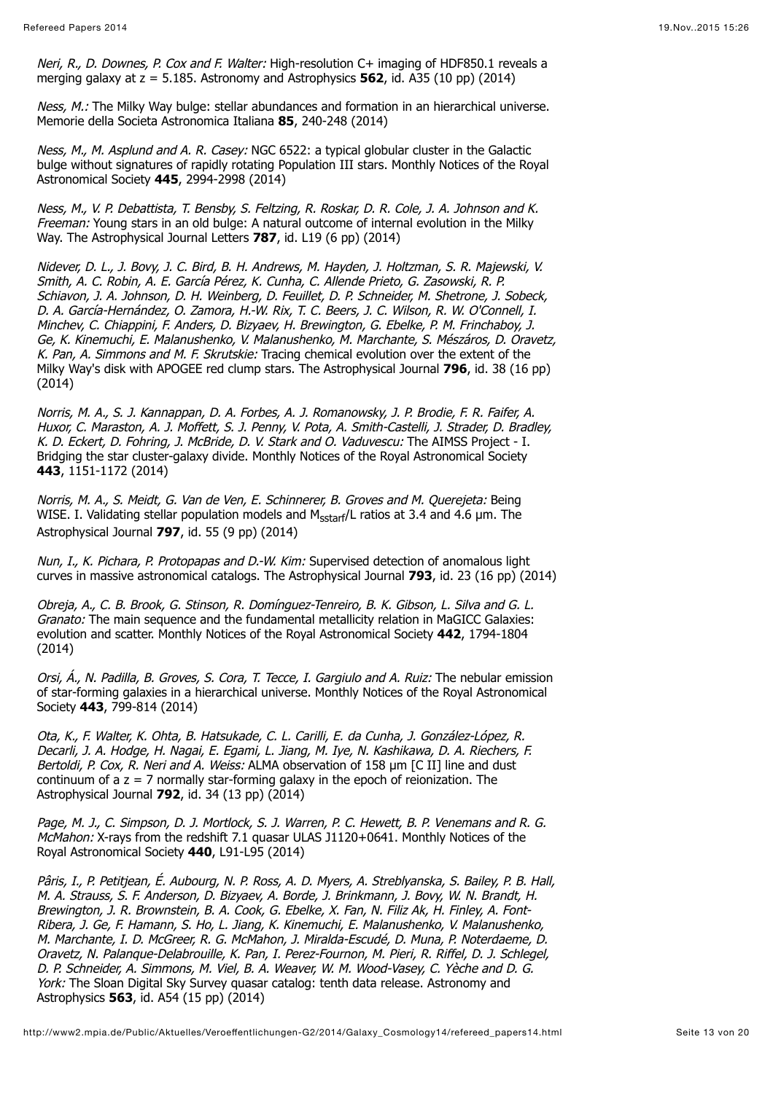Neri, R., D. Downes, P. Cox and F. Walter: High-resolution C+ imaging of HDF850.1 reveals a merging galaxy at z = 5.185. Astronomy and Astrophysics **562**, id. A35 (10 pp) (2014)

Ness, M.: The Milky Way bulge: stellar abundances and formation in an hierarchical universe. Memorie della Societa Astronomica Italiana **85**, 240-248 (2014)

Ness, M., M. Asplund and A. R. Casey: NGC 6522: a typical globular cluster in the Galactic bulge without signatures of rapidly rotating Population III stars. Monthly Notices of the Royal Astronomical Society **445**, 2994-2998 (2014)

Ness, M., V. P. Debattista, T. Bensby, S. Feltzing, R. Roskar, D. R. Cole, J. A. Johnson and K. Freeman: Young stars in an old bulge: A natural outcome of internal evolution in the Milky Way. The Astrophysical Journal Letters **787**, id. L19 (6 pp) (2014)

Nidever, D. L., J. Bovy, J. C. Bird, B. H. Andrews, M. Hayden, J. Holtzman, S. R. Majewski, V. Smith, A. C. Robin, A. E. García Pérez, K. Cunha, C. Allende Prieto, G. Zasowski, R. P. Schiavon, J. A. Johnson, D. H. Weinberg, D. Feuillet, D. P. Schneider, M. Shetrone, J. Sobeck, D. A. García-Hernández, O. Zamora, H.-W. Rix, T. C. Beers, J. C. Wilson, R. W. O'Connell, I. Minchev, C. Chiappini, F. Anders, D. Bizyaev, H. Brewington, G. Ebelke, P. M. Frinchaboy, J. Ge, K. Kinemuchi, E. Malanushenko, V. Malanushenko, M. Marchante, S. Mészáros, D. Oravetz, K. Pan, A. Simmons and M. F. Skrutskie: Tracing chemical evolution over the extent of the Milky Way's disk with APOGEE red clump stars. The Astrophysical Journal **796**, id. 38 (16 pp) (2014)

Norris, M. A., S. J. Kannappan, D. A. Forbes, A. J. Romanowsky, J. P. Brodie, F. R. Faifer, A. Huxor, C. Maraston, A. J. Moffett, S. J. Penny, V. Pota, A. Smith-Castelli, J. Strader, D. Bradley, K. D. Eckert, D. Fohring, J. McBride, D. V. Stark and O. Vaduvescu: The AIMSS Project - I. Bridging the star cluster-galaxy divide. Monthly Notices of the Royal Astronomical Society **443**, 1151-1172 (2014)

Norris, M. A., S. Meidt, G. Van de Ven, E. Schinnerer, B. Groves and M. Querejeta: Being WISE. I. Validating stellar population models and M<sub>sstarf</sub>/L ratios at 3.4 and 4.6 µm. The Astrophysical Journal **797**, id. 55 (9 pp) (2014)

Nun, I., K. Pichara, P. Protopapas and D.-W. Kim: Supervised detection of anomalous light curves in massive astronomical catalogs. The Astrophysical Journal **793**, id. 23 (16 pp) (2014)

Obreja, A., C. B. Brook, G. Stinson, R. Domínguez-Tenreiro, B. K. Gibson, L. Silva and G. L. Granato: The main sequence and the fundamental metallicity relation in MaGICC Galaxies: evolution and scatter. Monthly Notices of the Royal Astronomical Society **442**, 1794-1804 (2014)

Orsi, Á., N. Padilla, B. Groves, S. Cora, T. Tecce, I. Gargiulo and A. Ruiz: The nebular emission of star-forming galaxies in a hierarchical universe. Monthly Notices of the Royal Astronomical Society **443**, 799-814 (2014)

Ota, K., F. Walter, K. Ohta, B. Hatsukade, C. L. Carilli, E. da Cunha, J. González-López, R. Decarli, J. A. Hodge, H. Nagai, E. Egami, L. Jiang, M. Iye, N. Kashikawa, D. A. Riechers, F. Bertoldi, P. Cox, R. Neri and A. Weiss: ALMA observation of 158 um [C II] line and dust continuum of  $a \, z = 7$  normally star-forming galaxy in the epoch of reionization. The Astrophysical Journal **792**, id. 34 (13 pp) (2014)

Page, M. J., C. Simpson, D. J. Mortlock, S. J. Warren, P. C. Hewett, B. P. Venemans and R. G. McMahon: X-rays from the redshift 7.1 quasar ULAS J1120+0641. Monthly Notices of the Royal Astronomical Society **440**, L91-L95 (2014)

Pâris, I., P. Petitjean, É. Aubourg, N. P. Ross, A. D. Myers, A. Streblyanska, S. Bailey, P. B. Hall, M. A. Strauss, S. F. Anderson, D. Bizyaev, A. Borde, J. Brinkmann, J. Bovy, W. N. Brandt, H. Brewington, J. R. Brownstein, B. A. Cook, G. Ebelke, X. Fan, N. Filiz Ak, H. Finley, A. Font-Ribera, J. Ge, F. Hamann, S. Ho, L. Jiang, K. Kinemuchi, E. Malanushenko, V. Malanushenko, M. Marchante, I. D. McGreer, R. G. McMahon, J. Miralda-Escudé, D. Muna, P. Noterdaeme, D. Oravetz, N. Palanque-Delabrouille, K. Pan, I. Perez-Fournon, M. Pieri, R. Riffel, D. J. Schlegel, D. P. Schneider, A. Simmons, M. Viel, B. A. Weaver, W. M. Wood-Vasey, C. Yèche and D. G. York: The Sloan Digital Sky Survey quasar catalog: tenth data release. Astronomy and Astrophysics **563**, id. A54 (15 pp) (2014)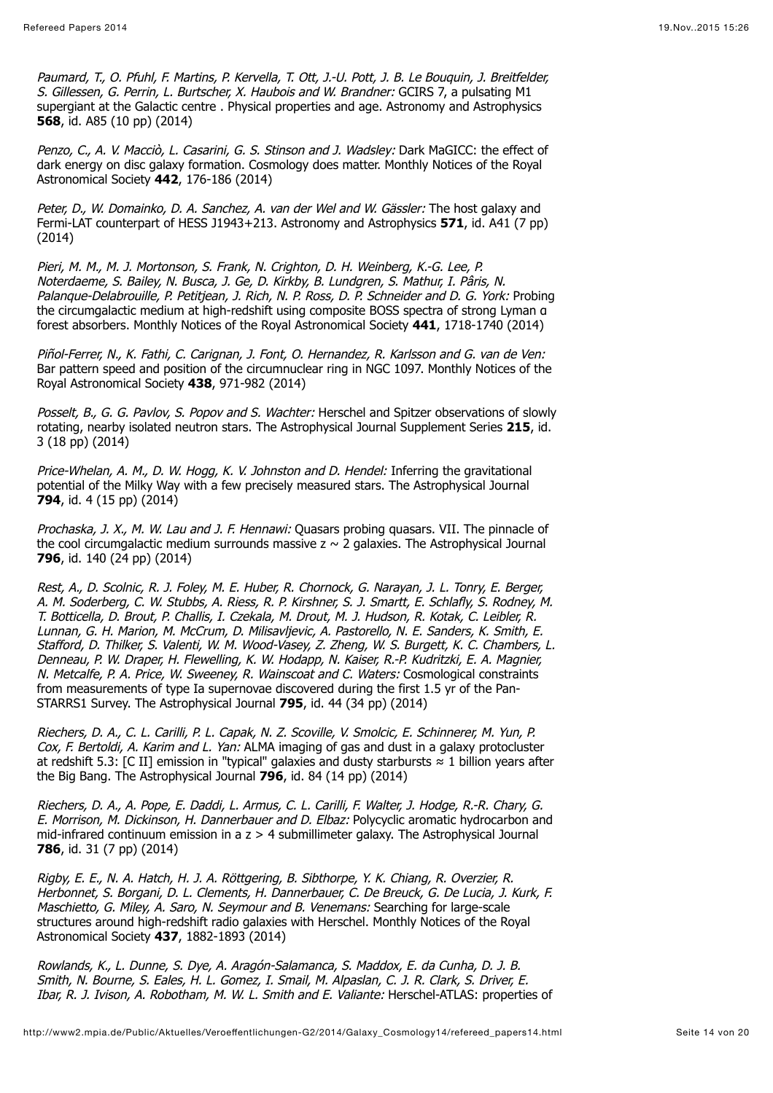Paumard, T., O. Pfuhl, F. Martins, P. Kervella, T. Ott, J.-U. Pott, J. B. Le Bouquin, J. Breitfelder, S. Gillessen, G. Perrin, L. Burtscher, X. Haubois and W. Brandner: GCIRS 7, a pulsating M1 supergiant at the Galactic centre . Physical properties and age. Astronomy and Astrophysics **568**, id. A85 (10 pp) (2014)

Penzo, C., A. V. Macciò, L. Casarini, G. S. Stinson and J. Wadsley: Dark MaGICC: the effect of dark energy on disc galaxy formation. Cosmology does matter. Monthly Notices of the Royal Astronomical Society **442**, 176-186 (2014)

Peter, D., W. Domainko, D. A. Sanchez, A. van der Wel and W. Gässler: The host galaxy and Fermi-LAT counterpart of HESS J1943+213. Astronomy and Astrophysics **571**, id. A41 (7 pp) (2014)

Pieri, M. M., M. J. Mortonson, S. Frank, N. Crighton, D. H. Weinberg, K.-G. Lee, P. Noterdaeme, S. Bailey, N. Busca, J. Ge, D. Kirkby, B. Lundgren, S. Mathur, I. Pâris, N. Palanque-Delabrouille, P. Petitjean, J. Rich, N. P. Ross, D. P. Schneider and D. G. York: Probing the circumgalactic medium at high-redshift using composite BOSS spectra of strong Lyman α forest absorbers. Monthly Notices of the Royal Astronomical Society **441**, 1718-1740 (2014)

Piñol-Ferrer, N., K. Fathi, C. Carignan, J. Font, O. Hernandez, R. Karlsson and G. van de Ven: Bar pattern speed and position of the circumnuclear ring in NGC 1097. Monthly Notices of the Royal Astronomical Society **438**, 971-982 (2014)

Posselt, B., G. G. Paylov, S. Popov and S. Wachter: Herschel and Spitzer observations of slowly rotating, nearby isolated neutron stars. The Astrophysical Journal Supplement Series **215**, id. 3 (18 pp) (2014)

Price-Whelan, A. M., D. W. Hogg, K. V. Johnston and D. Hendel: Inferring the gravitational potential of the Milky Way with a few precisely measured stars. The Astrophysical Journal **794**, id. 4 (15 pp) (2014)

Prochaska, J. X., M. W. Lau and J. F. Hennawi: Quasars probing quasars. VII. The pinnacle of the cool circumgalactic medium surrounds massive  $z \sim 2$  galaxies. The Astrophysical Journal **796**, id. 140 (24 pp) (2014)

Rest, A., D. Scolnic, R. J. Foley, M. E. Huber, R. Chornock, G. Narayan, J. L. Tonry, E. Berger, A. M. Soderberg, C. W. Stubbs, A. Riess, R. P. Kirshner, S. J. Smartt, E. Schlafly, S. Rodney, M. T. Botticella, D. Brout, P. Challis, I. Czekala, M. Drout, M. J. Hudson, R. Kotak, C. Leibler, R. Lunnan, G. H. Marion, M. McCrum, D. Milisavljevic, A. Pastorello, N. E. Sanders, K. Smith, E. Stafford, D. Thilker, S. Valenti, W. M. Wood-Vasey, Z. Zheng, W. S. Burgett, K. C. Chambers, L. Denneau, P. W. Draper, H. Flewelling, K. W. Hodapp, N. Kaiser, R.-P. Kudritzki, E. A. Magnier, N. Metcalfe, P. A. Price, W. Sweeney, R. Wainscoat and C. Waters: Cosmological constraints from measurements of type Ia supernovae discovered during the first 1.5 yr of the Pan-STARRS1 Survey. The Astrophysical Journal **795**, id. 44 (34 pp) (2014)

Riechers, D. A., C. L. Carilli, P. L. Capak, N. Z. Scoville, V. Smolcic, E. Schinnerer, M. Yun, P. Cox, F. Bertoldi, A. Karim and L. Yan: ALMA imaging of gas and dust in a galaxy protocluster at redshift 5.3: [C II] emission in "typical" galaxies and dusty starbursts  $\approx 1$  billion years after the Big Bang. The Astrophysical Journal **796**, id. 84 (14 pp) (2014)

Riechers, D. A., A. Pope, E. Daddi, L. Armus, C. L. Carilli, F. Walter, J. Hodge, R.-R. Chary, G. E. Morrison, M. Dickinson, H. Dannerbauer and D. Elbaz: Polycyclic aromatic hydrocarbon and mid-infrared continuum emission in a  $z > 4$  submillimeter galaxy. The Astrophysical Journal **786**, id. 31 (7 pp) (2014)

Rigby, E. E., N. A. Hatch, H. J. A. Röttgering, B. Sibthorpe, Y. K. Chiang, R. Overzier, R. Herbonnet, S. Borgani, D. L. Clements, H. Dannerbauer, C. De Breuck, G. De Lucia, J. Kurk, F. Maschietto, G. Miley, A. Saro, N. Seymour and B. Venemans: Searching for large-scale structures around high-redshift radio galaxies with Herschel. Monthly Notices of the Royal Astronomical Society **437**, 1882-1893 (2014)

Rowlands, K., L. Dunne, S. Dye, A. Aragón-Salamanca, S. Maddox, E. da Cunha, D. J. B. Smith, N. Bourne, S. Eales, H. L. Gomez, I. Smail, M. Alpaslan, C. J. R. Clark, S. Driver, E. Ibar, R. J. Ivison, A. Robotham, M. W. L. Smith and E. Valiante: Herschel-ATLAS: properties of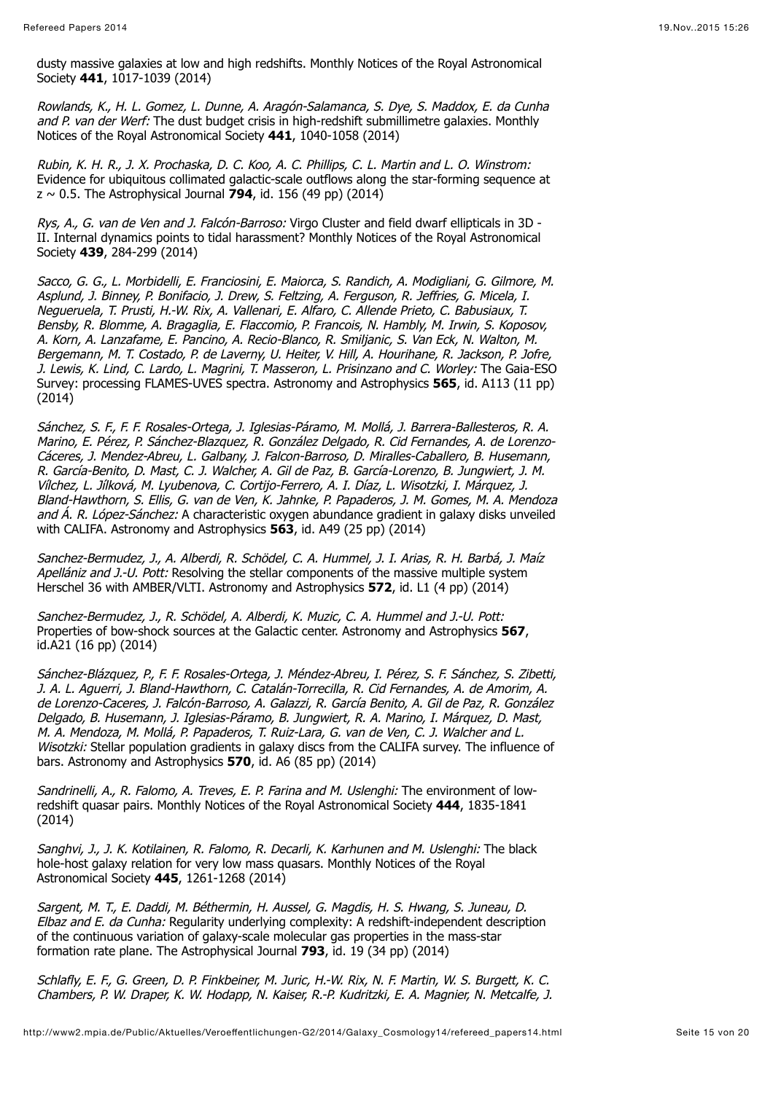dusty massive galaxies at low and high redshifts. Monthly Notices of the Royal Astronomical Society **441**, 1017-1039 (2014)

Rowlands, K., H. L. Gomez, L. Dunne, A. Aragón-Salamanca, S. Dye, S. Maddox, E. da Cunha and P. van der Werf: The dust budget crisis in high-redshift submillimetre galaxies. Monthly Notices of the Royal Astronomical Society **441**, 1040-1058 (2014)

Rubin, K. H. R., J. X. Prochaska, D. C. Koo, A. C. Phillips, C. L. Martin and L. O. Winstrom: Evidence for ubiquitous collimated galactic-scale outflows along the star-forming sequence at  $z \sim 0.5$ . The Astrophysical Journal  $\bar{7}94$ , id. 156 (49 pp) (2014)

Rys, A., G. van de Ven and J. Falcón-Barroso: Virgo Cluster and field dwarf ellipticals in 3D - II. Internal dynamics points to tidal harassment? Monthly Notices of the Royal Astronomical Society **439**, 284-299 (2014)

Sacco, G. G., L. Morbidelli, E. Franciosini, E. Maiorca, S. Randich, A. Modigliani, G. Gilmore, M. Asplund, J. Binney, P. Bonifacio, J. Drew, S. Feltzing, A. Ferguson, R. Jeffries, G. Micela, I. Negueruela, T. Prusti, H.-W. Rix, A. Vallenari, E. Alfaro, C. Allende Prieto, C. Babusiaux, T. Bensby, R. Blomme, A. Bragaglia, E. Flaccomio, P. Francois, N. Hambly, M. Irwin, S. Koposov, A. Korn, A. Lanzafame, E. Pancino, A. Recio-Blanco, R. Smiljanic, S. Van Eck, N. Walton, M. Bergemann, M. T. Costado, P. de Laverny, U. Heiter, V. Hill, A. Hourihane, R. Jackson, P. Jofre, J. Lewis, K. Lind, C. Lardo, L. Magrini, T. Masseron, L. Prisinzano and C. Worley: The Gaia-ESO Survey: processing FLAMES-UVES spectra. Astronomy and Astrophysics **565**, id. A113 (11 pp) (2014)

Sánchez, S. F., F. F. Rosales-Ortega, J. Iglesias-Páramo, M. Mollá, J. Barrera-Ballesteros, R. A. Marino, E. Pérez, P. Sánchez-Blazquez, R. González Delgado, R. Cid Fernandes, A. de Lorenzo-Cáceres, J. Mendez-Abreu, L. Galbany, J. Falcon-Barroso, D. Miralles-Caballero, B. Husemann, R. García-Benito, D. Mast, C. J. Walcher, A. Gil de Paz, B. García-Lorenzo, B. Jungwiert, J. M. Vílchez, L. Jílková, M. Lyubenova, C. Cortijo-Ferrero, A. I. Díaz, L. Wisotzki, I. Márquez, J. Bland-Hawthorn, S. Ellis, G. van de Ven, K. Jahnke, P. Papaderos, J. M. Gomes, M. A. Mendoza and Á. R. López-Sánchez: A characteristic oxygen abundance gradient in galaxy disks unveiled with CALIFA. Astronomy and Astrophysics **563**, id. A49 (25 pp) (2014)

Sanchez-Bermudez, J., A. Alberdi, R. Schödel, C. A. Hummel, J. I. Arias, R. H. Barbá, J. Maíz Apellániz and J.-U. Pott: Resolving the stellar components of the massive multiple system Herschel 36 with AMBER/VLTI. Astronomy and Astrophysics **572**, id. L1 (4 pp) (2014)

Sanchez-Bermudez, J., R. Schödel, A. Alberdi, K. Muzic, C. A. Hummel and J.-U. Pott: Properties of bow-shock sources at the Galactic center. Astronomy and Astrophysics **567**, id.A21 (16 pp) (2014)

Sánchez-Blázquez, P., F. F. Rosales-Ortega, J. Méndez-Abreu, I. Pérez, S. F. Sánchez, S. Zibetti, J. A. L. Aguerri, J. Bland-Hawthorn, C. Catalán-Torrecilla, R. Cid Fernandes, A. de Amorim, A. de Lorenzo-Caceres, J. Falcón-Barroso, A. Galazzi, R. García Benito, A. Gil de Paz, R. González Delgado, B. Husemann, J. Iglesias-Páramo, B. Jungwiert, R. A. Marino, I. Márquez, D. Mast, M. A. Mendoza, M. Mollá, P. Papaderos, T. Ruiz-Lara, G. van de Ven, C. J. Walcher and L. Wisotzki: Stellar population gradients in galaxy discs from the CALIFA survey. The influence of bars. Astronomy and Astrophysics **570**, id. A6 (85 pp) (2014)

Sandrinelli, A., R. Falomo, A. Treves, E. P. Farina and M. Uslenghi: The environment of lowredshift quasar pairs. Monthly Notices of the Royal Astronomical Society **444**, 1835-1841 (2014)

Sanghvi, J., J. K. Kotilainen, R. Falomo, R. Decarli, K. Karhunen and M. Uslenghi: The black hole-host galaxy relation for very low mass quasars. Monthly Notices of the Royal Astronomical Society **445**, 1261-1268 (2014)

Sargent, M. T., E. Daddi, M. Béthermin, H. Aussel, G. Magdis, H. S. Hwang, S. Juneau, D. Elbaz and E. da Cunha: Regularity underlying complexity: A redshift-independent description of the continuous variation of galaxy-scale molecular gas properties in the mass-star formation rate plane. The Astrophysical Journal **793**, id. 19 (34 pp) (2014)

Schlafly, E. F., G. Green, D. P. Finkbeiner, M. Juric, H.-W. Rix, N. F. Martin, W. S. Burgett, K. C. Chambers, P. W. Draper, K. W. Hodapp, N. Kaiser, R.-P. Kudritzki, E. A. Magnier, N. Metcalfe, J.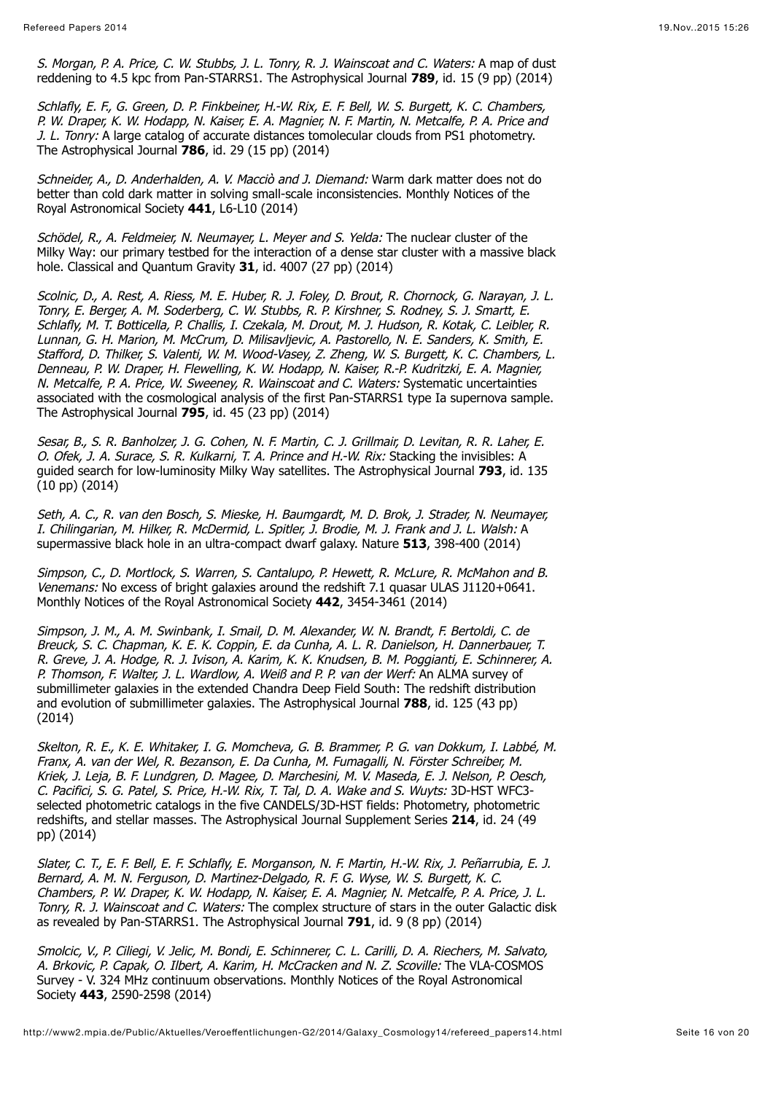S. Morgan, P. A. Price, C. W. Stubbs, J. L. Tonry, R. J. Wainscoat and C. Waters: A map of dust reddening to 4.5 kpc from Pan-STARRS1. The Astrophysical Journal **789**, id. 15 (9 pp) (2014)

Schlafly, E. F., G. Green, D. P. Finkbeiner, H.-W. Rix, E. F. Bell, W. S. Burgett, K. C. Chambers, P. W. Draper, K. W. Hodapp, N. Kaiser, E. A. Magnier, N. F. Martin, N. Metcalfe, P. A. Price and J. L. Tonry: A large catalog of accurate distances tomolecular clouds from PS1 photometry. The Astrophysical Journal **786**, id. 29 (15 pp) (2014)

Schneider, A., D. Anderhalden, A. V. Macciò and J. Diemand: Warm dark matter does not do better than cold dark matter in solving small-scale inconsistencies. Monthly Notices of the Royal Astronomical Society **441**, L6-L10 (2014)

Schödel, R., A. Feldmeier, N. Neumayer, L. Meyer and S. Yelda: The nuclear cluster of the Milky Way: our primary testbed for the interaction of a dense star cluster with a massive black hole. Classical and Quantum Gravity **31**, id. 4007 (27 pp) (2014)

Scolnic, D., A. Rest, A. Riess, M. E. Huber, R. J. Foley, D. Brout, R. Chornock, G. Narayan, J. L. Tonry, E. Berger, A. M. Soderberg, C. W. Stubbs, R. P. Kirshner, S. Rodney, S. J. Smartt, E. Schlafly, M. T. Botticella, P. Challis, I. Czekala, M. Drout, M. J. Hudson, R. Kotak, C. Leibler, R. Lunnan, G. H. Marion, M. McCrum, D. Milisavljevic, A. Pastorello, N. E. Sanders, K. Smith, E. Stafford, D. Thilker, S. Valenti, W. M. Wood-Vasey, Z. Zheng, W. S. Burgett, K. C. Chambers, L. Denneau, P. W. Draper, H. Flewelling, K. W. Hodapp, N. Kaiser, R.-P. Kudritzki, E. A. Magnier, N. Metcalfe, P. A. Price, W. Sweeney, R. Wainscoat and C. Waters: Systematic uncertainties associated with the cosmological analysis of the first Pan-STARRS1 type Ia supernova sample. The Astrophysical Journal **795**, id. 45 (23 pp) (2014)

Sesar, B., S. R. Banholzer, J. G. Cohen, N. F. Martin, C. J. Grillmair, D. Levitan, R. R. Laher, E. O. Ofek, J. A. Surace, S. R. Kulkarni, T. A. Prince and H.-W. Rix: Stacking the invisibles: A guided search for low-luminosity Milky Way satellites. The Astrophysical Journal **793**, id. 135 (10 pp) (2014)

Seth, A. C., R. van den Bosch, S. Mieske, H. Baumgardt, M. D. Brok, J. Strader, N. Neumayer, I. Chilingarian, M. Hilker, R. McDermid, L. Spitler, J. Brodie, M. J. Frank and J. L. Walsh: A supermassive black hole in an ultra-compact dwarf galaxy. Nature **513**, 398-400 (2014)

Simpson, C., D. Mortlock, S. Warren, S. Cantalupo, P. Hewett, R. McLure, R. McMahon and B. Venemans: No excess of bright galaxies around the redshift 7.1 quasar ULAS J1120+0641. Monthly Notices of the Royal Astronomical Society **442**, 3454-3461 (2014)

Simpson, J. M., A. M. Swinbank, I. Smail, D. M. Alexander, W. N. Brandt, F. Bertoldi, C. de Breuck, S. C. Chapman, K. E. K. Coppin, E. da Cunha, A. L. R. Danielson, H. Dannerbauer, T. R. Greve, J. A. Hodge, R. J. Ivison, A. Karim, K. K. Knudsen, B. M. Poggianti, E. Schinnerer, A. P. Thomson, F. Walter, J. L. Wardlow, A. Weiß and P. P. van der Werf: An ALMA survey of submillimeter galaxies in the extended Chandra Deep Field South: The redshift distribution and evolution of submillimeter galaxies. The Astrophysical Journal **788**, id. 125 (43 pp) (2014)

Skelton, R. E., K. E. Whitaker, I. G. Momcheva, G. B. Brammer, P. G. van Dokkum, I. Labbé, M. Franx, A. van der Wel, R. Bezanson, E. Da Cunha, M. Fumagalli, N. Förster Schreiber, M. Kriek, J. Leja, B. F. Lundgren, D. Magee, D. Marchesini, M. V. Maseda, E. J. Nelson, P. Oesch, C. Pacifici, S. G. Patel, S. Price, H.-W. Rix, T. Tal, D. A. Wake and S. Wuyts: 3D-HST WFC3 selected photometric catalogs in the five CANDELS/3D-HST fields: Photometry, photometric redshifts, and stellar masses. The Astrophysical Journal Supplement Series **214**, id. 24 (49 pp) (2014)

Slater, C. T., E. F. Bell, E. F. Schlafly, E. Morganson, N. F. Martin, H.-W. Rix, J. Peñarrubia, E. J. Bernard, A. M. N. Ferguson, D. Martinez-Delgado, R. F. G. Wyse, W. S. Burgett, K. C. Chambers, P. W. Draper, K. W. Hodapp, N. Kaiser, E. A. Magnier, N. Metcalfe, P. A. Price, J. L. Tonry, R. J. Wainscoat and C. Waters: The complex structure of stars in the outer Galactic disk as revealed by Pan-STARRS1. The Astrophysical Journal **791**, id. 9 (8 pp) (2014)

Smolcic, V., P. Ciliegi, V. Jelic, M. Bondi, E. Schinnerer, C. L. Carilli, D. A. Riechers, M. Salvato, A. Brkovic, P. Capak, O. Ilbert, A. Karim, H. McCracken and N. Z. Scoville: The VLA-COSMOS Survey - V. 324 MHz continuum observations. Monthly Notices of the Royal Astronomical Society **443**, 2590-2598 (2014)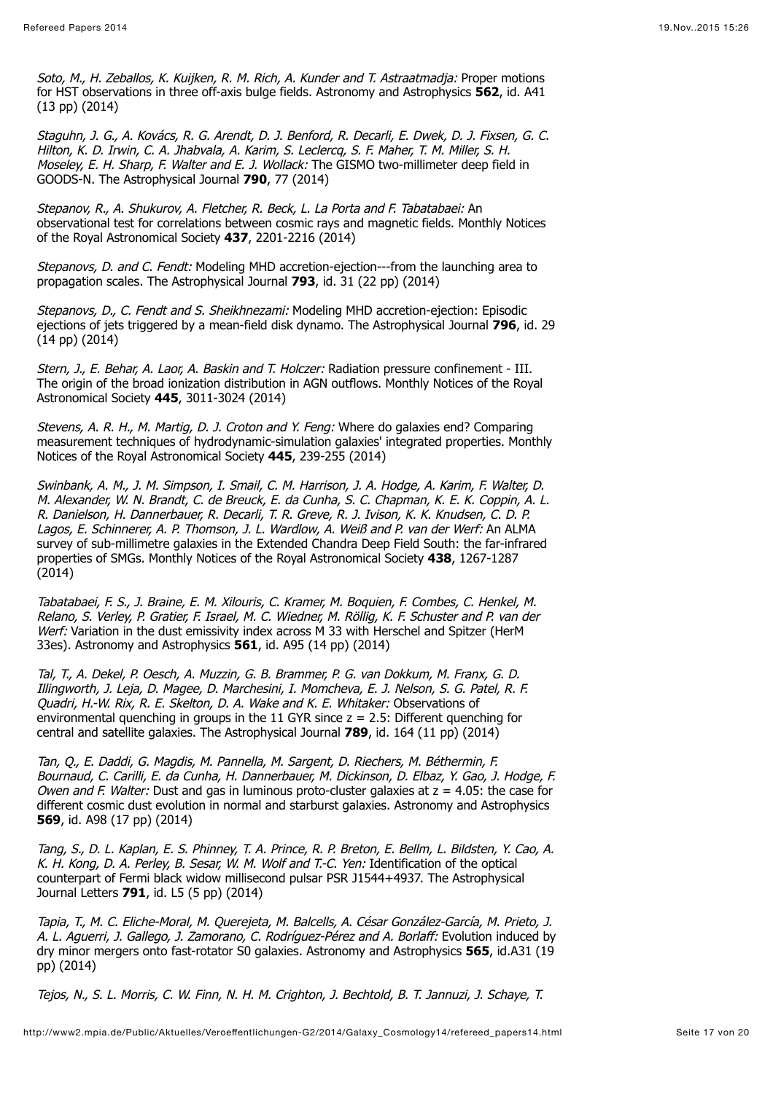Soto, M., H. Zeballos, K. Kuijken, R. M. Rich, A. Kunder and T. Astraatmadja: Proper motions for HST observations in three off-axis bulge fields. Astronomy and Astrophysics **562**, id. A41 (13 pp) (2014)

Staguhn, J. G., A. Kovács, R. G. Arendt, D. J. Benford, R. Decarli, E. Dwek, D. J. Fixsen, G. C. Hilton, K. D. Irwin, C. A. Jhabvala, A. Karim, S. Leclercq, S. F. Maher, T. M. Miller, S. H. Moseley, E. H. Sharp, F. Walter and E. J. Wollack: The GISMO two-millimeter deep field in GOODS-N. The Astrophysical Journal **790**, 77 (2014)

Stepanov, R., A. Shukurov, A. Fletcher, R. Beck, L. La Porta and F. Tabatabaei: An observational test for correlations between cosmic rays and magnetic fields. Monthly Notices of the Royal Astronomical Society **437**, 2201-2216 (2014)

Stepanovs, D. and C. Fendt: Modeling MHD accretion-ejection---from the launching area to propagation scales. The Astrophysical Journal **793**, id. 31 (22 pp) (2014)

Stepanovs, D., C. Fendt and S. Sheikhnezami: Modeling MHD accretion-ejection: Episodic ejections of jets triggered by a mean-field disk dynamo. The Astrophysical Journal **796**, id. 29 (14 pp) (2014)

Stern, J., E. Behar, A. Laor, A. Baskin and T. Holczer: Radiation pressure confinement - III. The origin of the broad ionization distribution in AGN outflows. Monthly Notices of the Royal Astronomical Society **445**, 3011-3024 (2014)

Stevens, A. R. H., M. Martig, D. J. Croton and Y. Feng: Where do galaxies end? Comparing measurement techniques of hydrodynamic-simulation galaxies' integrated properties. Monthly Notices of the Royal Astronomical Society **445**, 239-255 (2014)

Swinbank, A. M., J. M. Simpson, I. Smail, C. M. Harrison, J. A. Hodge, A. Karim, F. Walter, D. M. Alexander, W. N. Brandt, C. de Breuck, E. da Cunha, S. C. Chapman, K. E. K. Coppin, A. L. R. Danielson, H. Dannerbauer, R. Decarli, T. R. Greve, R. J. Ivison, K. K. Knudsen, C. D. P. Lagos, E. Schinnerer, A. P. Thomson, J. L. Wardlow, A. Weiß and P. van der Werf: An ALMA survey of sub-millimetre galaxies in the Extended Chandra Deep Field South: the far-infrared properties of SMGs. Monthly Notices of the Royal Astronomical Society **438**, 1267-1287 (2014)

Tabatabaei, F. S., J. Braine, E. M. Xilouris, C. Kramer, M. Boquien, F. Combes, C. Henkel, M. Relano, S. Verley, P. Gratier, F. Israel, M. C. Wiedner, M. Röllig, K. F. Schuster and P. van der Werf: Variation in the dust emissivity index across M 33 with Herschel and Spitzer (HerM 33es). Astronomy and Astrophysics **561**, id. A95 (14 pp) (2014)

Tal, T., A. Dekel, P. Oesch, A. Muzzin, G. B. Brammer, P. G. van Dokkum, M. Franx, G. D. Illingworth, J. Leja, D. Magee, D. Marchesini, I. Momcheva, E. J. Nelson, S. G. Patel, R. F. Quadri, H.-W. Rix, R. E. Skelton, D. A. Wake and K. E. Whitaker: Observations of environmental quenching in groups in the 11 GYR since  $z = 2.5$ : Different quenching for central and satellite galaxies. The Astrophysical Journal **789**, id. 164 (11 pp) (2014)

Tan, Q., E. Daddi, G. Magdis, M. Pannella, M. Sargent, D. Riechers, M. Béthermin, F. Bournaud, C. Carilli, E. da Cunha, H. Dannerbauer, M. Dickinson, D. Elbaz, Y. Gao, J. Hodge, F. Owen and F. Walter: Dust and gas in luminous proto-cluster galaxies at  $z = 4.05$ : the case for different cosmic dust evolution in normal and starburst galaxies. Astronomy and Astrophysics **569**, id. A98 (17 pp) (2014)

Tang, S., D. L. Kaplan, E. S. Phinney, T. A. Prince, R. P. Breton, E. Bellm, L. Bildsten, Y. Cao, A. K. H. Kong, D. A. Perley, B. Sesar, W. M. Wolf and T.-C. Yen: Identification of the optical counterpart of Fermi black widow millisecond pulsar PSR J1544+4937. The Astrophysical Journal Letters **791**, id. L5 (5 pp) (2014)

Tapia, T., M. C. Eliche-Moral, M. Querejeta, M. Balcells, A. César González-García, M. Prieto, J. A. L. Aguerri, J. Gallego, J. Zamorano, C. Rodríguez-Pérez and A. Borlaff: Evolution induced by dry minor mergers onto fast-rotator S0 galaxies. Astronomy and Astrophysics **565**, id.A31 (19 pp) (2014)

Tejos, N., S. L. Morris, C. W. Finn, N. H. M. Crighton, J. Bechtold, B. T. Jannuzi, J. Schaye, T.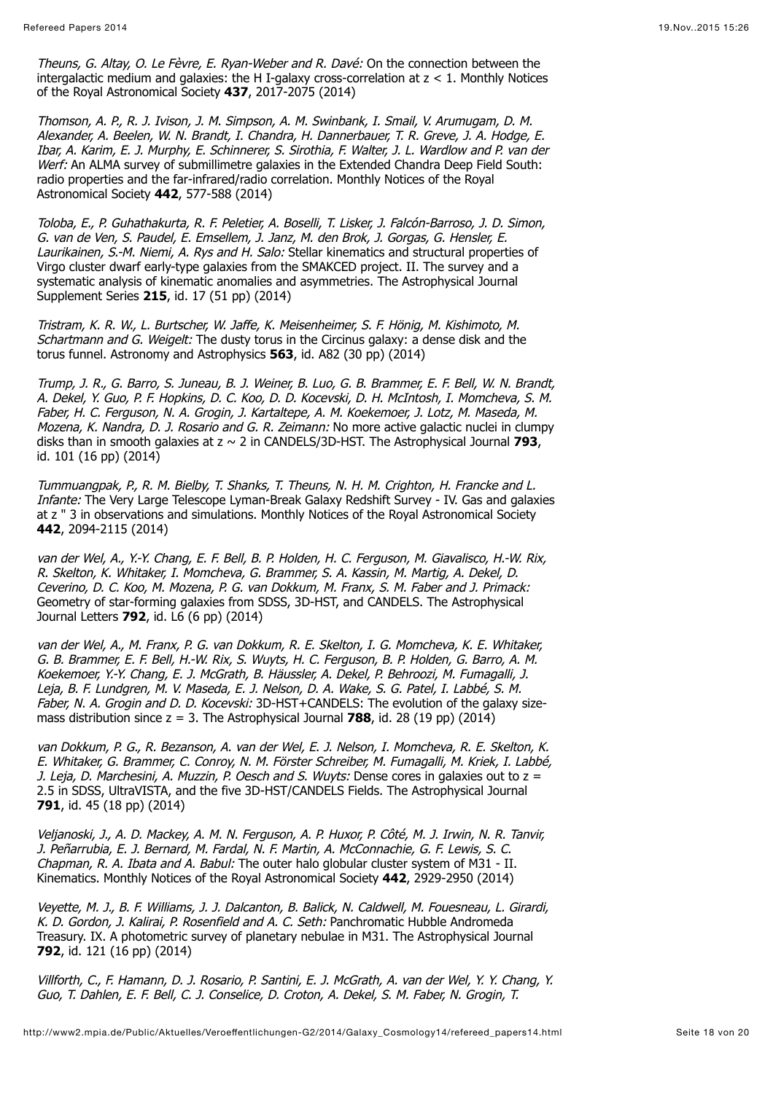Theuns, G. Altay, O. Le Fèvre, E. Ryan-Weber and R. Davé: On the connection between the intergalactic medium and galaxies: the H I-galaxy cross-correlation at  $z < 1$ . Monthly Notices of the Royal Astronomical Society **437**, 2017-2075 (2014)

Thomson, A. P., R. J. Ivison, J. M. Simpson, A. M. Swinbank, I. Smail, V. Arumugam, D. M. Alexander, A. Beelen, W. N. Brandt, I. Chandra, H. Dannerbauer, T. R. Greve, J. A. Hodge, E. Ibar, A. Karim, E. J. Murphy, E. Schinnerer, S. Sirothia, F. Walter, J. L. Wardlow and P. van der Werf: An ALMA survey of submillimetre galaxies in the Extended Chandra Deep Field South: radio properties and the far-infrared/radio correlation. Monthly Notices of the Royal Astronomical Society **442**, 577-588 (2014)

Toloba, E., P. Guhathakurta, R. F. Peletier, A. Boselli, T. Lisker, J. Falcón-Barroso, J. D. Simon, G. van de Ven, S. Paudel, E. Emsellem, J. Janz, M. den Brok, J. Gorgas, G. Hensler, E. Laurikainen, S.-M. Niemi, A. Rys and H. Salo: Stellar kinematics and structural properties of Virgo cluster dwarf early-type galaxies from the SMAKCED project. II. The survey and a systematic analysis of kinematic anomalies and asymmetries. The Astrophysical Journal Supplement Series **215**, id. 17 (51 pp) (2014)

Tristram, K. R. W., L. Burtscher, W. Jaffe, K. Meisenheimer, S. F. Hönig, M. Kishimoto, M. Schartmann and G. Weigelt: The dusty torus in the Circinus galaxy: a dense disk and the torus funnel. Astronomy and Astrophysics **563**, id. A82 (30 pp) (2014)

Trump, J. R., G. Barro, S. Juneau, B. J. Weiner, B. Luo, G. B. Brammer, E. F. Bell, W. N. Brandt, A. Dekel, Y. Guo, P. F. Hopkins, D. C. Koo, D. D. Kocevski, D. H. McIntosh, I. Momcheva, S. M. Faber, H. C. Ferguson, N. A. Grogin, J. Kartaltepe, A. M. Koekemoer, J. Lotz, M. Maseda, M. Mozena, K. Nandra, D. J. Rosario and G. R. Zeimann: No more active galactic nuclei in clumpy disks than in smooth galaxies at z ~ 2 in CANDELS/3D-HST. The Astrophysical Journal **793**, id. 101 (16 pp) (2014)

Tummuangpak, P., R. M. Bielby, T. Shanks, T. Theuns, N. H. M. Crighton, H. Francke and L. Infante: The Very Large Telescope Lyman-Break Galaxy Redshift Survey - IV. Gas and galaxies at z " 3 in observations and simulations. Monthly Notices of the Royal Astronomical Society **442**, 2094-2115 (2014)

van der Wel, A., Y.-Y. Chang, E. F. Bell, B. P. Holden, H. C. Ferguson, M. Giavalisco, H.-W. Rix, R. Skelton, K. Whitaker, I. Momcheva, G. Brammer, S. A. Kassin, M. Martig, A. Dekel, D. Ceverino, D. C. Koo, M. Mozena, P. G. van Dokkum, M. Franx, S. M. Faber and J. Primack: Geometry of star-forming galaxies from SDSS, 3D-HST, and CANDELS. The Astrophysical Journal Letters **792**, id. L6 (6 pp) (2014)

van der Wel, A., M. Franx, P. G. van Dokkum, R. E. Skelton, I. G. Momcheva, K. E. Whitaker, G. B. Brammer, E. F. Bell, H.-W. Rix, S. Wuyts, H. C. Ferguson, B. P. Holden, G. Barro, A. M. Koekemoer, Y.-Y. Chang, E. J. McGrath, B. Häussler, A. Dekel, P. Behroozi, M. Fumagalli, J. Leja, B. F. Lundgren, M. V. Maseda, E. J. Nelson, D. A. Wake, S. G. Patel, I. Labbé, S. M. Faber, N. A. Grogin and D. D. Kocevski: 3D-HST+CANDELS: The evolution of the galaxy sizemass distribution since z = 3. The Astrophysical Journal **788**, id. 28 (19 pp) (2014)

van Dokkum, P. G., R. Bezanson, A. van der Wel, E. J. Nelson, I. Momcheva, R. E. Skelton, K. E. Whitaker, G. Brammer, C. Conroy, N. M. Förster Schreiber, M. Fumagalli, M. Kriek, I. Labbé, J. Leja, D. Marchesini, A. Muzzin, P. Oesch and S. Wuyts: Dense cores in galaxies out to  $z =$ 2.5 in SDSS, UltraVISTA, and the five 3D-HST/CANDELS Fields. The Astrophysical Journal **791**, id. 45 (18 pp) (2014)

Veljanoski, J., A. D. Mackey, A. M. N. Ferguson, A. P. Huxor, P. Côté, M. J. Irwin, N. R. Tanvir, J. Peñarrubia, E. J. Bernard, M. Fardal, N. F. Martin, A. McConnachie, G. F. Lewis, S. C. Chapman, R. A. Ibata and A. Babul: The outer halo globular cluster system of M31 - II. Kinematics. Monthly Notices of the Royal Astronomical Society **442**, 2929-2950 (2014)

Veyette, M. J., B. F. Williams, J. J. Dalcanton, B. Balick, N. Caldwell, M. Fouesneau, L. Girardi, K. D. Gordon, J. Kalirai, P. Rosenfield and A. C. Seth: Panchromatic Hubble Andromeda Treasury. IX. A photometric survey of planetary nebulae in M31. The Astrophysical Journal **792**, id. 121 (16 pp) (2014)

Villforth, C., F. Hamann, D. J. Rosario, P. Santini, E. J. McGrath, A. van der Wel, Y. Y. Chang, Y. Guo, T. Dahlen, E. F. Bell, C. J. Conselice, D. Croton, A. Dekel, S. M. Faber, N. Grogin, T.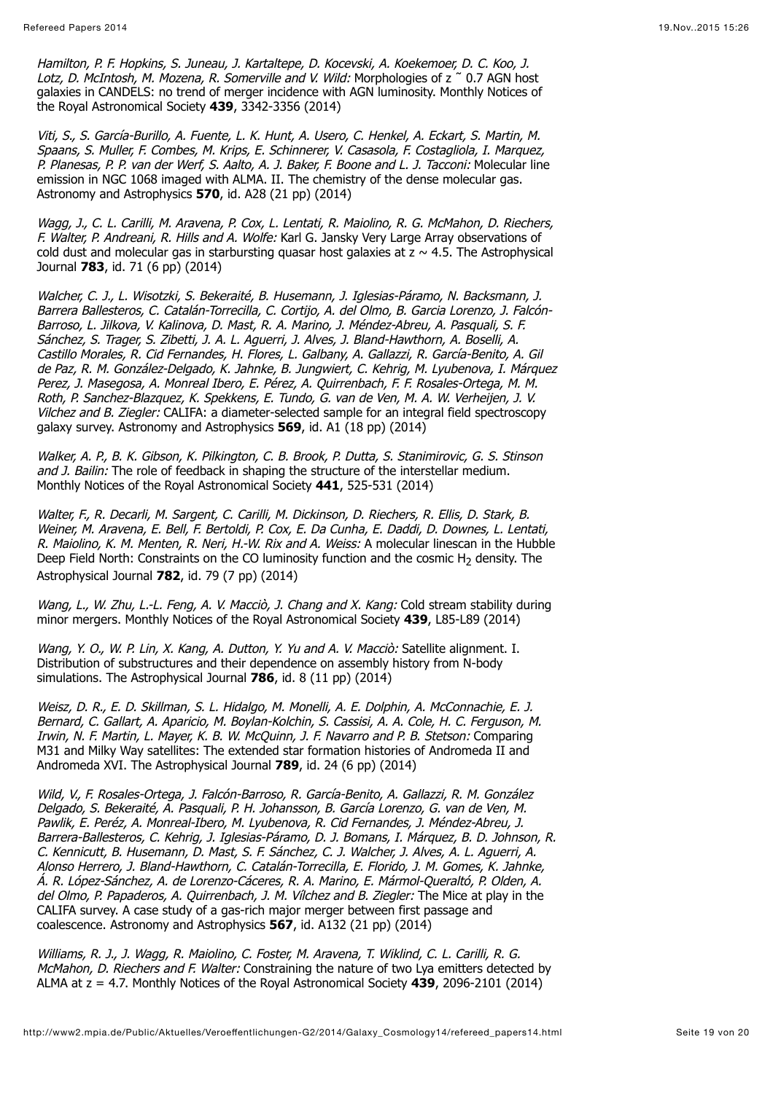Hamilton, P. F. Hopkins, S. Juneau, J. Kartaltepe, D. Kocevski, A. Koekemoer, D. C. Koo, J. Lotz, D. McIntosh, M. Mozena, R. Somerville and V. Wild: Morphologies of z ~ 0.7 AGN host galaxies in CANDELS: no trend of merger incidence with AGN luminosity. Monthly Notices of the Royal Astronomical Society **439**, 3342-3356 (2014)

Viti, S., S. García-Burillo, A. Fuente, L. K. Hunt, A. Usero, C. Henkel, A. Eckart, S. Martin, M. Spaans, S. Muller, F. Combes, M. Krips, E. Schinnerer, V. Casasola, F. Costagliola, I. Marquez, P. Planesas, P. P. van der Werf, S. Aalto, A. J. Baker, F. Boone and L. J. Tacconi: Molecular line emission in NGC 1068 imaged with ALMA. II. The chemistry of the dense molecular gas. Astronomy and Astrophysics **570**, id. A28 (21 pp) (2014)

Wagg, J., C. L. Carilli, M. Aravena, P. Cox, L. Lentati, R. Maiolino, R. G. McMahon, D. Riechers, F. Walter, P. Andreani, R. Hills and A. Wolfe: Karl G. Jansky Very Large Array observations of cold dust and molecular gas in starbursting quasar host galaxies at  $z \sim 4.5$ . The Astrophysical Journal **783**, id. 71 (6 pp) (2014)

Walcher, C. J., L. Wisotzki, S. Bekeraité, B. Husemann, J. Iglesias-Páramo, N. Backsmann, J. Barrera Ballesteros, C. Catalán-Torrecilla, C. Cortijo, A. del Olmo, B. Garcia Lorenzo, J. Falcón-Barroso, L. Jilkova, V. Kalinova, D. Mast, R. A. Marino, J. Méndez-Abreu, A. Pasquali, S. F. Sánchez, S. Trager, S. Zibetti, J. A. L. Aguerri, J. Alves, J. Bland-Hawthorn, A. Boselli, A. Castillo Morales, R. Cid Fernandes, H. Flores, L. Galbany, A. Gallazzi, R. García-Benito, A. Gil de Paz, R. M. González-Delgado, K. Jahnke, B. Jungwiert, C. Kehrig, M. Lyubenova, I. Márquez Perez, J. Masegosa, A. Monreal Ibero, E. Pérez, A. Quirrenbach, F. F. Rosales-Ortega, M. M. Roth, P. Sanchez-Blazquez, K. Spekkens, E. Tundo, G. van de Ven, M. A. W. Verheijen, J. V. Vilchez and B. Ziegler: CALIFA: a diameter-selected sample for an integral field spectroscopy galaxy survey. Astronomy and Astrophysics **569**, id. A1 (18 pp) (2014)

Walker, A. P., B. K. Gibson, K. Pilkington, C. B. Brook, P. Dutta, S. Stanimirovic, G. S. Stinson and J. Bailin: The role of feedback in shaping the structure of the interstellar medium. Monthly Notices of the Royal Astronomical Society **441**, 525-531 (2014)

Walter, F., R. Decarli, M. Sargent, C. Carilli, M. Dickinson, D. Riechers, R. Ellis, D. Stark, B. Weiner, M. Aravena, E. Bell, F. Bertoldi, P. Cox, E. Da Cunha, E. Daddi, D. Downes, L. Lentati, R. Maiolino, K. M. Menten, R. Neri, H.-W. Rix and A. Weiss: A molecular linescan in the Hubble Deep Field North: Constraints on the CO luminosity function and the cosmic H<sub>2</sub> density. The Astrophysical Journal **782**, id. 79 (7 pp) (2014)

Wang, L., W. Zhu, L.-L. Feng, A. V. Macciò, J. Chang and X. Kang: Cold stream stability during minor mergers. Monthly Notices of the Royal Astronomical Society **439**, L85-L89 (2014)

Wang, Y. O., W. P. Lin, X. Kang, A. Dutton, Y. Yu and A. V. Macciò: Satellite alignment. I. Distribution of substructures and their dependence on assembly history from N-body simulations. The Astrophysical Journal **786**, id. 8 (11 pp) (2014)

Weisz, D. R., E. D. Skillman, S. L. Hidalgo, M. Monelli, A. E. Dolphin, A. McConnachie, E. J. Bernard, C. Gallart, A. Aparicio, M. Boylan-Kolchin, S. Cassisi, A. A. Cole, H. C. Ferguson, M. Irwin, N. F. Martin, L. Mayer, K. B. W. McQuinn, J. F. Navarro and P. B. Stetson: Comparing M31 and Milky Way satellites: The extended star formation histories of Andromeda II and Andromeda XVI. The Astrophysical Journal **789**, id. 24 (6 pp) (2014)

Wild, V., F. Rosales-Ortega, J. Falcón-Barroso, R. García-Benito, A. Gallazzi, R. M. González Delgado, S. Bekeraité, A. Pasquali, P. H. Johansson, B. García Lorenzo, G. van de Ven, M. Pawlik, E. Peréz, A. Monreal-Ibero, M. Lyubenova, R. Cid Fernandes, J. Méndez-Abreu, J. Barrera-Ballesteros, C. Kehrig, J. Iglesias-Páramo, D. J. Bomans, I. Márquez, B. D. Johnson, R. C. Kennicutt, B. Husemann, D. Mast, S. F. Sánchez, C. J. Walcher, J. Alves, A. L. Aguerri, A. Alonso Herrero, J. Bland-Hawthorn, C. Catalán-Torrecilla, E. Florido, J. M. Gomes, K. Jahnke, Á. R. López-Sánchez, A. de Lorenzo-Cáceres, R. A. Marino, E. Mármol-Queraltó, P. Olden, A. del Olmo, P. Papaderos, A. Quirrenbach, J. M. Vílchez and B. Ziegler: The Mice at play in the CALIFA survey. A case study of a gas-rich major merger between first passage and coalescence. Astronomy and Astrophysics **567**, id. A132 (21 pp) (2014)

Williams, R. J., J. Wagg, R. Maiolino, C. Foster, M. Aravena, T. Wiklind, C. L. Carilli, R. G. McMahon, D. Riechers and F. Walter: Constraining the nature of two Lya emitters detected by ALMA at z = 4.7. Monthly Notices of the Royal Astronomical Society **439**, 2096-2101 (2014)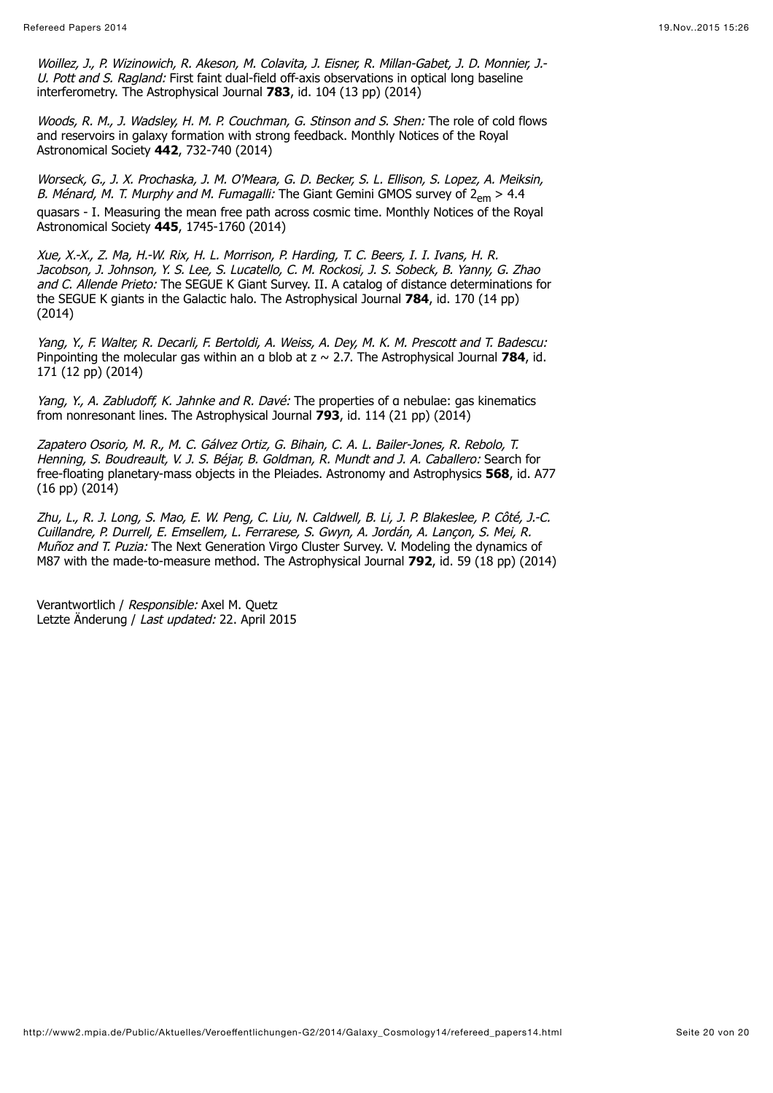Woillez, J., P. Wizinowich, R. Akeson, M. Colavita, J. Eisner, R. Millan-Gabet, J. D. Monnier, J.- U. Pott and S. Ragland: First faint dual-field off-axis observations in optical long baseline interferometry. The Astrophysical Journal **783**, id. 104 (13 pp) (2014)

Woods, R. M., J. Wadsley, H. M. P. Couchman, G. Stinson and S. Shen: The role of cold flows and reservoirs in galaxy formation with strong feedback. Monthly Notices of the Royal Astronomical Society **442**, 732-740 (2014)

Worseck, G., J. X. Prochaska, J. M. O'Meara, G. D. Becker, S. L. Ellison, S. Lopez, A. Meiksin, B. Ménard, M. T. Murphy and M. Fumagalli: The Giant Gemini GMOS survey of  $2_{em} > 4.4$ quasars - I. Measuring the mean free path across cosmic time. Monthly Notices of the Royal Astronomical Society **445**, 1745-1760 (2014)

Xue, X.-X., Z. Ma, H.-W. Rix, H. L. Morrison, P. Harding, T. C. Beers, I. I. Ivans, H. R. Jacobson, J. Johnson, Y. S. Lee, S. Lucatello, C. M. Rockosi, J. S. Sobeck, B. Yanny, G. Zhao and C. Allende Prieto: The SEGUE K Giant Survey. II. A catalog of distance determinations for the SEGUE K giants in the Galactic halo. The Astrophysical Journal **784**, id. 170 (14 pp) (2014)

Yang, Y., F. Walter, R. Decarli, F. Bertoldi, A. Weiss, A. Dey, M. K. M. Prescott and T. Badescu: Pinpointing the molecular gas within an α blob at z ~ 2.7. The Astrophysical Journal **784**, id. 171 (12 pp) (2014)

Yang, Y., A. Zabludoff, K. Jahnke and R. Davé: The properties of α nebulae: gas kinematics from nonresonant lines. The Astrophysical Journal **793**, id. 114 (21 pp) (2014)

Zapatero Osorio, M. R., M. C. Gálvez Ortiz, G. Bihain, C. A. L. Bailer-Jones, R. Rebolo, T. Henning, S. Boudreault, V. J. S. Béjar, B. Goldman, R. Mundt and J. A. Caballero: Search for free-floating planetary-mass objects in the Pleiades. Astronomy and Astrophysics **568**, id. A77 (16 pp) (2014)

Zhu, L., R. J. Long, S. Mao, E. W. Peng, C. Liu, N. Caldwell, B. Li, J. P. Blakeslee, P. Côté, J.-C. Cuillandre, P. Durrell, E. Emsellem, L. Ferrarese, S. Gwyn, A. Jordán, A. Lançon, S. Mei, R. Muñoz and T. Puzia: The Next Generation Virgo Cluster Survey. V. Modeling the dynamics of M87 with the made-to-measure method. The Astrophysical Journal **792**, id. 59 (18 pp) (2014)

Verantwortlich / Responsible: Axel M. Quetz Letzte Änderung / Last updated: 22. April 2015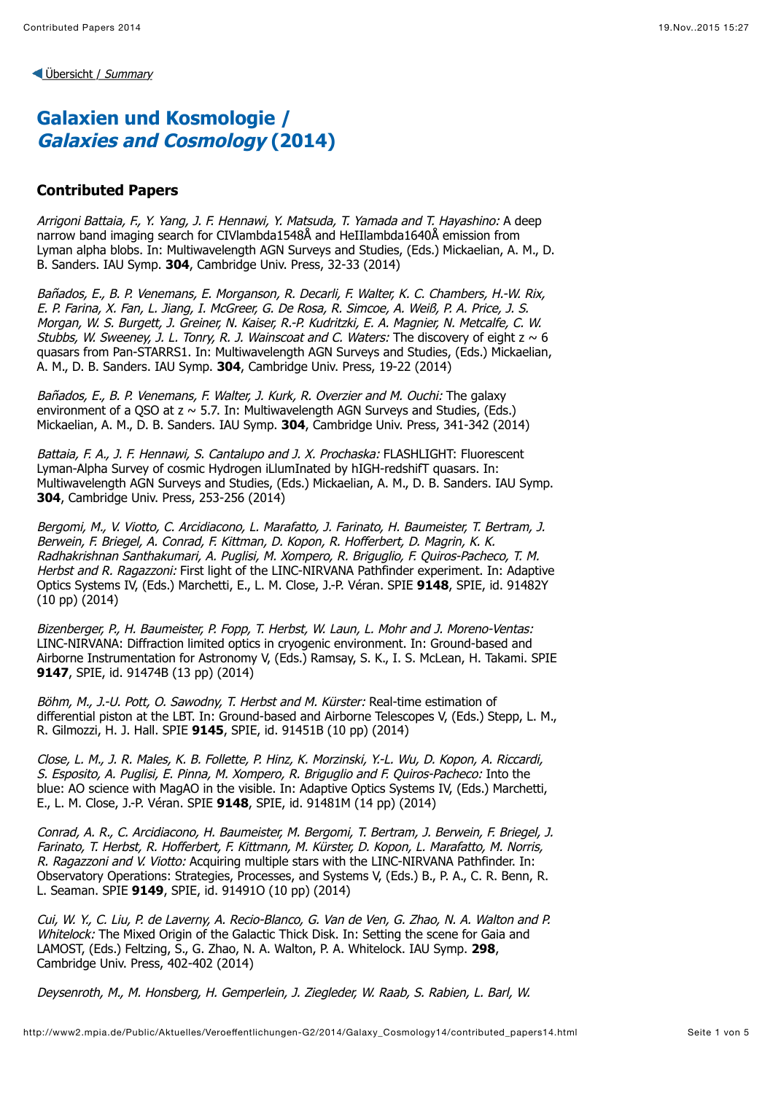[Übersicht /](http://www2.mpia.de/Public/Aktuelles/Veroeffentlichungen/index_gc.html) Summary

# **Galaxien und Kosmologie / Galaxies and Cosmology (2014)**

### **Contributed Papers**

Arrigoni Battaia, F., Y. Yang, J. F. Hennawi, Y. Matsuda, T. Yamada and T. Hayashino: A deep narrow band imaging search for CIVlambda1548Å and HeIIlambda1640Å emission from Lyman alpha blobs. In: Multiwavelength AGN Surveys and Studies, (Eds.) Mickaelian, A. M., D. B. Sanders. IAU Symp. **304**, Cambridge Univ. Press, 32-33 (2014)

Bañados, E., B. P. Venemans, E. Morganson, R. Decarli, F. Walter, K. C. Chambers, H.-W. Rix, E. P. Farina, X. Fan, L. Jiang, I. McGreer, G. De Rosa, R. Simcoe, A. Weiß, P. A. Price, J. S. Morgan, W. S. Burgett, J. Greiner, N. Kaiser, R.-P. Kudritzki, E. A. Magnier, N. Metcalfe, C. W. Stubbs, W. Sweeney, J. L. Tonry, R. J. Wainscoat and C. Waters: The discovery of eight  $z \sim 6$ quasars from Pan-STARRS1. In: Multiwavelength AGN Surveys and Studies, (Eds.) Mickaelian, A. M., D. B. Sanders. IAU Symp. **304**, Cambridge Univ. Press, 19-22 (2014)

Bañados, E., B. P. Venemans, F. Walter, J. Kurk, R. Overzier and M. Ouchi: The galaxy environment of a OSO at  $z \sim 5.7$ . In: Multiwavelength AGN Surveys and Studies, (Eds.) Mickaelian, A. M., D. B. Sanders. IAU Symp. **304**, Cambridge Univ. Press, 341-342 (2014)

Battaia, F. A., J. F. Hennawi, S. Cantalupo and J. X. Prochaska: FLASHLIGHT: Fluorescent Lyman-Alpha Survey of cosmic Hydrogen iLlumInated by hIGH-redshifT quasars. In: Multiwavelength AGN Surveys and Studies, (Eds.) Mickaelian, A. M., D. B. Sanders. IAU Symp. **304**, Cambridge Univ. Press, 253-256 (2014)

Bergomi, M., V. Viotto, C. Arcidiacono, L. Marafatto, J. Farinato, H. Baumeister, T. Bertram, J. Berwein, F. Briegel, A. Conrad, F. Kittman, D. Kopon, R. Hofferbert, D. Magrin, K. K. Radhakrishnan Santhakumari, A. Puglisi, M. Xompero, R. Briguglio, F. Quiros-Pacheco, T. M. Herbst and R. Ragazzoni: First light of the LINC-NIRVANA Pathfinder experiment. In: Adaptive Optics Systems IV, (Eds.) Marchetti, E., L. M. Close, J.-P. Véran. SPIE **9148**, SPIE, id. 91482Y (10 pp) (2014)

Bizenberger, P., H. Baumeister, P. Fopp, T. Herbst, W. Laun, L. Mohr and J. Moreno-Ventas: LINC-NIRVANA: Diffraction limited optics in cryogenic environment. In: Ground-based and Airborne Instrumentation for Astronomy V, (Eds.) Ramsay, S. K., I. S. McLean, H. Takami. SPIE **9147**, SPIE, id. 91474B (13 pp) (2014)

Böhm, M., J.-U. Pott, O. Sawodny, T. Herbst and M. Kürster: Real-time estimation of differential piston at the LBT. In: Ground-based and Airborne Telescopes V, (Eds.) Stepp, L. M., R. Gilmozzi, H. J. Hall. SPIE **9145**, SPIE, id. 91451B (10 pp) (2014)

Close, L. M., J. R. Males, K. B. Follette, P. Hinz, K. Morzinski, Y.-L. Wu, D. Kopon, A. Riccardi, S. Esposito, A. Puglisi, E. Pinna, M. Xompero, R. Briguglio and F. Quiros-Pacheco: Into the blue: AO science with MagAO in the visible. In: Adaptive Optics Systems IV, (Eds.) Marchetti, E., L. M. Close, J.-P. Véran. SPIE **9148**, SPIE, id. 91481M (14 pp) (2014)

Conrad, A. R., C. Arcidiacono, H. Baumeister, M. Bergomi, T. Bertram, J. Berwein, F. Briegel, J. Farinato, T. Herbst, R. Hofferbert, F. Kittmann, M. Kürster, D. Kopon, L. Marafatto, M. Norris, R. Ragazzoni and V. Viotto: Acquiring multiple stars with the LINC-NIRVANA Pathfinder. In: Observatory Operations: Strategies, Processes, and Systems V, (Eds.) B., P. A., C. R. Benn, R. L. Seaman. SPIE **9149**, SPIE, id. 91491O (10 pp) (2014)

Cui, W. Y., C. Liu, P. de Laverny, A. Recio-Blanco, G. Van de Ven, G. Zhao, N. A. Walton and P. Whitelock: The Mixed Origin of the Galactic Thick Disk. In: Setting the scene for Gaia and LAMOST, (Eds.) Feltzing, S., G. Zhao, N. A. Walton, P. A. Whitelock. IAU Symp. **298**, Cambridge Univ. Press, 402-402 (2014)

Deysenroth, M., M. Honsberg, H. Gemperlein, J. Ziegleder, W. Raab, S. Rabien, L. Barl, W.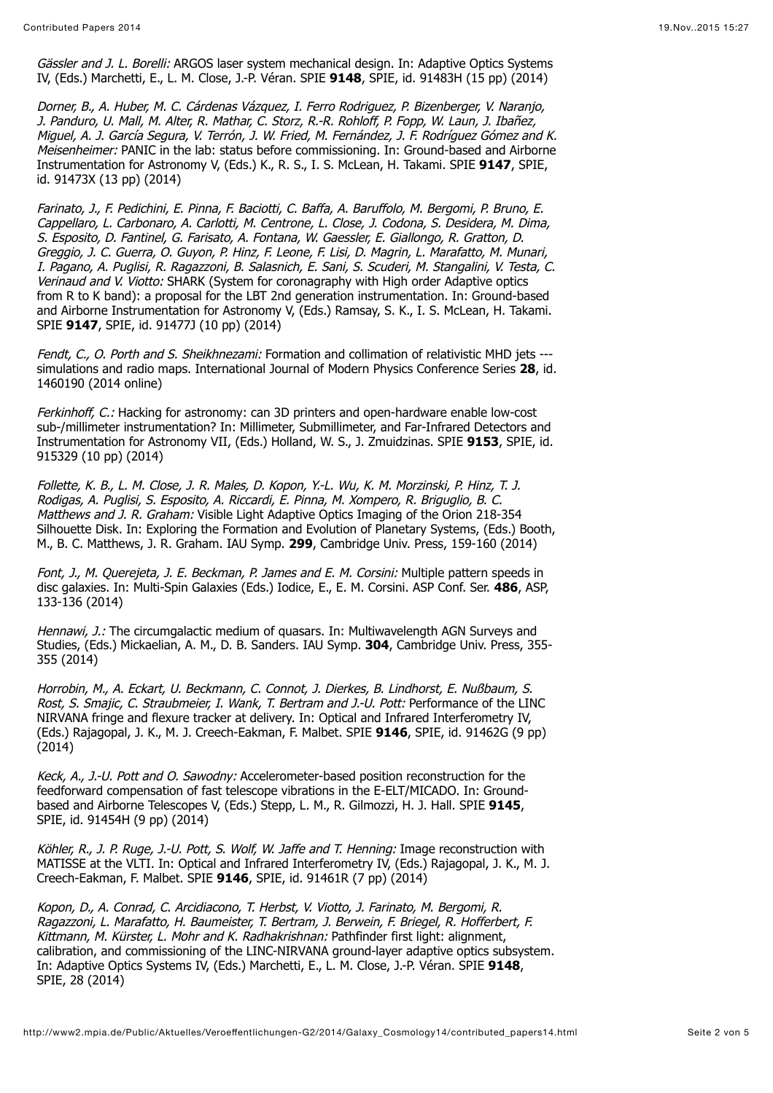Gässler and J. L. Borelli: ARGOS laser system mechanical design. In: Adaptive Optics Systems IV, (Eds.) Marchetti, E., L. M. Close, J.-P. Véran. SPIE **9148**, SPIE, id. 91483H (15 pp) (2014)

Dorner, B., A. Huber, M. C. Cárdenas Vázquez, I. Ferro Rodriguez, P. Bizenberger, V. Naranjo, J. Panduro, U. Mall, M. Alter, R. Mathar, C. Storz, R.-R. Rohloff, P. Fopp, W. Laun, J. Ibañez, Miguel, A. J. García Segura, V. Terrón, J. W. Fried, M. Fernández, J. F. Rodríguez Gómez and K. Meisenheimer: PANIC in the lab: status before commissioning. In: Ground-based and Airborne Instrumentation for Astronomy V, (Eds.) K., R. S., I. S. McLean, H. Takami. SPIE **9147**, SPIE, id. 91473X (13 pp) (2014)

Farinato, J., F. Pedichini, E. Pinna, F. Baciotti, C. Baffa, A. Baruffolo, M. Bergomi, P. Bruno, E. Cappellaro, L. Carbonaro, A. Carlotti, M. Centrone, L. Close, J. Codona, S. Desidera, M. Dima, S. Esposito, D. Fantinel, G. Farisato, A. Fontana, W. Gaessler, E. Giallongo, R. Gratton, D. Greggio, J. C. Guerra, O. Guyon, P. Hinz, F. Leone, F. Lisi, D. Magrin, L. Marafatto, M. Munari, I. Pagano, A. Puglisi, R. Ragazzoni, B. Salasnich, E. Sani, S. Scuderi, M. Stangalini, V. Testa, C. Verinaud and V. Viotto: SHARK (System for coronagraphy with High order Adaptive optics from R to K band): a proposal for the LBT 2nd generation instrumentation. In: Ground-based and Airborne Instrumentation for Astronomy V, (Eds.) Ramsay, S. K., I. S. McLean, H. Takami. SPIE **9147**, SPIE, id. 91477J (10 pp) (2014)

Fendt, C., O. Porth and S. Sheikhnezami: Formation and collimation of relativistic MHD jets --simulations and radio maps. International Journal of Modern Physics Conference Series **28**, id. 1460190 (2014 online)

Ferkinhoff, C.: Hacking for astronomy: can 3D printers and open-hardware enable low-cost sub-/millimeter instrumentation? In: Millimeter, Submillimeter, and Far-Infrared Detectors and Instrumentation for Astronomy VII, (Eds.) Holland, W. S., J. Zmuidzinas. SPIE **9153**, SPIE, id. 915329 (10 pp) (2014)

Follette, K. B., L. M. Close, J. R. Males, D. Kopon, Y.-L. Wu, K. M. Morzinski, P. Hinz, T. J. Rodigas, A. Puglisi, S. Esposito, A. Riccardi, E. Pinna, M. Xompero, R. Briguglio, B. C. Matthews and J. R. Graham: Visible Light Adaptive Optics Imaging of the Orion 218-354 Silhouette Disk. In: Exploring the Formation and Evolution of Planetary Systems, (Eds.) Booth, M., B. C. Matthews, J. R. Graham. IAU Symp. **299**, Cambridge Univ. Press, 159-160 (2014)

Font, J., M. Querejeta, J. E. Beckman, P. James and E. M. Corsini: Multiple pattern speeds in disc galaxies. In: Multi-Spin Galaxies (Eds.) Iodice, E., E. M. Corsini. ASP Conf. Ser. **486**, ASP, 133-136 (2014)

Hennawi, J.: The circumgalactic medium of quasars. In: Multiwavelength AGN Surveys and Studies, (Eds.) Mickaelian, A. M., D. B. Sanders. IAU Symp. **304**, Cambridge Univ. Press, 355- 355 (2014)

Horrobin, M., A. Eckart, U. Beckmann, C. Connot, J. Dierkes, B. Lindhorst, E. Nußbaum, S. Rost, S. Smajic, C. Straubmeier, I. Wank, T. Bertram and J.-U. Pott: Performance of the LINC NIRVANA fringe and flexure tracker at delivery. In: Optical and Infrared Interferometry IV, (Eds.) Rajagopal, J. K., M. J. Creech-Eakman, F. Malbet. SPIE **9146**, SPIE, id. 91462G (9 pp)  $(2014)$ 

Keck, A., J.-U. Pott and O. Sawodny: Accelerometer-based position reconstruction for the feedforward compensation of fast telescope vibrations in the E-ELT/MICADO. In: Groundbased and Airborne Telescopes V, (Eds.) Stepp, L. M., R. Gilmozzi, H. J. Hall. SPIE **9145**, SPIE, id. 91454H (9 pp) (2014)

Köhler, R., J. P. Ruge, J.-U. Pott, S. Wolf, W. Jaffe and T. Henning: Image reconstruction with MATISSE at the VLTI. In: Optical and Infrared Interferometry IV, (Eds.) Rajagopal, J. K., M. J. Creech-Eakman, F. Malbet. SPIE **9146**, SPIE, id. 91461R (7 pp) (2014)

Kopon, D., A. Conrad, C. Arcidiacono, T. Herbst, V. Viotto, J. Farinato, M. Bergomi, R. Ragazzoni, L. Marafatto, H. Baumeister, T. Bertram, J. Berwein, F. Briegel, R. Hofferbert, F. Kittmann, M. Kürster, L. Mohr and K. Radhakrishnan: Pathfinder first light: alignment, calibration, and commissioning of the LINC-NIRVANA ground-layer adaptive optics subsystem. In: Adaptive Optics Systems IV, (Eds.) Marchetti, E., L. M. Close, J.-P. Véran. SPIE **9148**, SPIE, 28 (2014)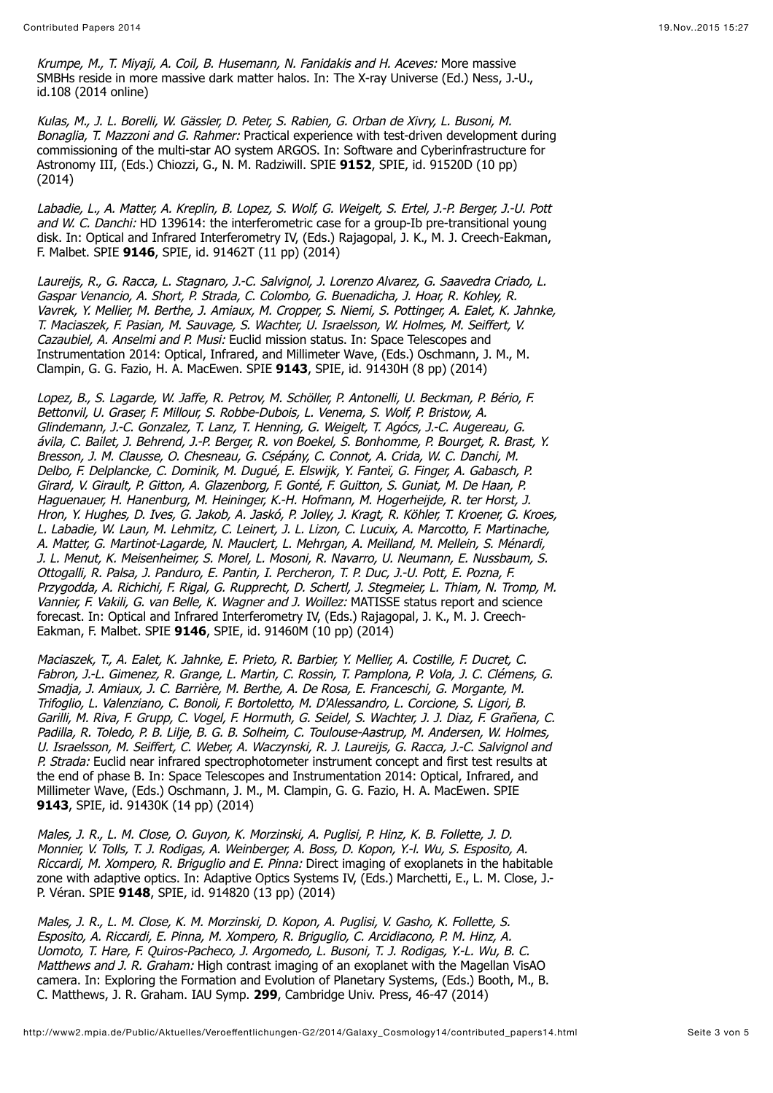Krumpe, M., T. Miyaji, A. Coil, B. Husemann, N. Fanidakis and H. Aceves: More massive SMBHs reside in more massive dark matter halos. In: The X-ray Universe (Ed.) Ness, J.-U., id.108 (2014 online)

Kulas, M., J. L. Borelli, W. Gässler, D. Peter, S. Rabien, G. Orban de Xivry, L. Busoni, M. Bonaglia, T. Mazzoni and G. Rahmer: Practical experience with test-driven development during commissioning of the multi-star AO system ARGOS. In: Software and Cyberinfrastructure for Astronomy III, (Eds.) Chiozzi, G., N. M. Radziwill. SPIE **9152**, SPIE, id. 91520D (10 pp) (2014)

Labadie, L., A. Matter, A. Kreplin, B. Lopez, S. Wolf, G. Weigelt, S. Ertel, J.-P. Berger, J.-U. Pott and W. C. Danchi: HD 139614: the interferometric case for a group-Ib pre-transitional young disk. In: Optical and Infrared Interferometry IV, (Eds.) Rajagopal, J. K., M. J. Creech-Eakman, F. Malbet. SPIE **9146**, SPIE, id. 91462T (11 pp) (2014)

Laureijs, R., G. Racca, L. Stagnaro, J.-C. Salvignol, J. Lorenzo Alvarez, G. Saavedra Criado, L. Gaspar Venancio, A. Short, P. Strada, C. Colombo, G. Buenadicha, J. Hoar, R. Kohley, R. Vavrek, Y. Mellier, M. Berthe, J. Amiaux, M. Cropper, S. Niemi, S. Pottinger, A. Ealet, K. Jahnke, T. Maciaszek, F. Pasian, M. Sauvage, S. Wachter, U. Israelsson, W. Holmes, M. Seiffert, V. Cazaubiel, A. Anselmi and P. Musi: Euclid mission status. In: Space Telescopes and Instrumentation 2014: Optical, Infrared, and Millimeter Wave, (Eds.) Oschmann, J. M., M. Clampin, G. G. Fazio, H. A. MacEwen. SPIE **9143**, SPIE, id. 91430H (8 pp) (2014)

Lopez, B., S. Lagarde, W. Jaffe, R. Petrov, M. Schöller, P. Antonelli, U. Beckman, P. Bério, F. Bettonvil, U. Graser, F. Millour, S. Robbe-Dubois, L. Venema, S. Wolf, P. Bristow, A. Glindemann, J.-C. Gonzalez, T. Lanz, T. Henning, G. Weigelt, T. Agócs, J.-C. Augereau, G. ávila, C. Bailet, J. Behrend, J.-P. Berger, R. von Boekel, S. Bonhomme, P. Bourget, R. Brast, Y. Bresson, J. M. Clausse, O. Chesneau, G. Csépány, C. Connot, A. Crida, W. C. Danchi, M. Delbo, F. Delplancke, C. Dominik, M. Dugué, E. Elswijk, Y. Fanteï, G. Finger, A. Gabasch, P. Girard, V. Girault, P. Gitton, A. Glazenborg, F. Gonté, F. Guitton, S. Guniat, M. De Haan, P. Haguenauer, H. Hanenburg, M. Heininger, K.-H. Hofmann, M. Hogerheijde, R. ter Horst, J. Hron, Y. Hughes, D. Ives, G. Jakob, A. Jaskó, P. Jolley, J. Kragt, R. Köhler, T. Kroener, G. Kroes, L. Labadie, W. Laun, M. Lehmitz, C. Leinert, J. L. Lizon, C. Lucuix, A. Marcotto, F. Martinache, A. Matter, G. Martinot-Lagarde, N. Mauclert, L. Mehrgan, A. Meilland, M. Mellein, S. Ménardi, J. L. Menut, K. Meisenheimer, S. Morel, L. Mosoni, R. Navarro, U. Neumann, E. Nussbaum, S. Ottogalli, R. Palsa, J. Panduro, E. Pantin, I. Percheron, T. P. Duc, J.-U. Pott, E. Pozna, F. Przygodda, A. Richichi, F. Rigal, G. Rupprecht, D. Schertl, J. Stegmeier, L. Thiam, N. Tromp, M. Vannier, F. Vakili, G. van Belle, K. Wagner and J. Woillez: MATISSE status report and science forecast. In: Optical and Infrared Interferometry IV, (Eds.) Rajagopal, J. K., M. J. Creech-Eakman, F. Malbet. SPIE **9146**, SPIE, id. 91460M (10 pp) (2014)

Maciaszek, T., A. Ealet, K. Jahnke, E. Prieto, R. Barbier, Y. Mellier, A. Costille, F. Ducret, C. Fabron, J.-L. Gimenez, R. Grange, L. Martin, C. Rossin, T. Pamplona, P. Vola, J. C. Clémens, G. Smadja, J. Amiaux, J. C. Barrière, M. Berthe, A. De Rosa, E. Franceschi, G. Morgante, M. Trifoglio, L. Valenziano, C. Bonoli, F. Bortoletto, M. D'Alessandro, L. Corcione, S. Ligori, B. Garilli, M. Riva, F. Grupp, C. Vogel, F. Hormuth, G. Seidel, S. Wachter, J. J. Diaz, F. Grañena, C. Padilla, R. Toledo, P. B. Lilje, B. G. B. Solheim, C. Toulouse-Aastrup, M. Andersen, W. Holmes, U. Israelsson, M. Seiffert, C. Weber, A. Waczynski, R. J. Laureijs, G. Racca, J.-C. Salvignol and P. Strada: Euclid near infrared spectrophotometer instrument concept and first test results at the end of phase B. In: Space Telescopes and Instrumentation 2014: Optical, Infrared, and Millimeter Wave, (Eds.) Oschmann, J. M., M. Clampin, G. G. Fazio, H. A. MacEwen. SPIE **9143**, SPIE, id. 91430K (14 pp) (2014)

Males, J. R., L. M. Close, O. Guyon, K. Morzinski, A. Puglisi, P. Hinz, K. B. Follette, J. D. Monnier, V. Tolls, T. J. Rodigas, A. Weinberger, A. Boss, D. Kopon, Y.-l. Wu, S. Esposito, A. Riccardi, M. Xompero, R. Brigualio and E. Pinna: Direct imaging of exoplanets in the habitable zone with adaptive optics. In: Adaptive Optics Systems IV, (Eds.) Marchetti, E., L. M. Close, J.- P. Véran. SPIE **9148**, SPIE, id. 914820 (13 pp) (2014)

Males, J. R., L. M. Close, K. M. Morzinski, D. Kopon, A. Puglisi, V. Gasho, K. Follette, S. Esposito, A. Riccardi, E. Pinna, M. Xompero, R. Briguglio, C. Arcidiacono, P. M. Hinz, A. Uomoto, T. Hare, F. Quiros-Pacheco, J. Argomedo, L. Busoni, T. J. Rodigas, Y.-L. Wu, B. C. Matthews and J. R. Graham: High contrast imaging of an exoplanet with the Magellan VisAO camera. In: Exploring the Formation and Evolution of Planetary Systems, (Eds.) Booth, M., B. C. Matthews, J. R. Graham. IAU Symp. **299**, Cambridge Univ. Press, 46-47 (2014)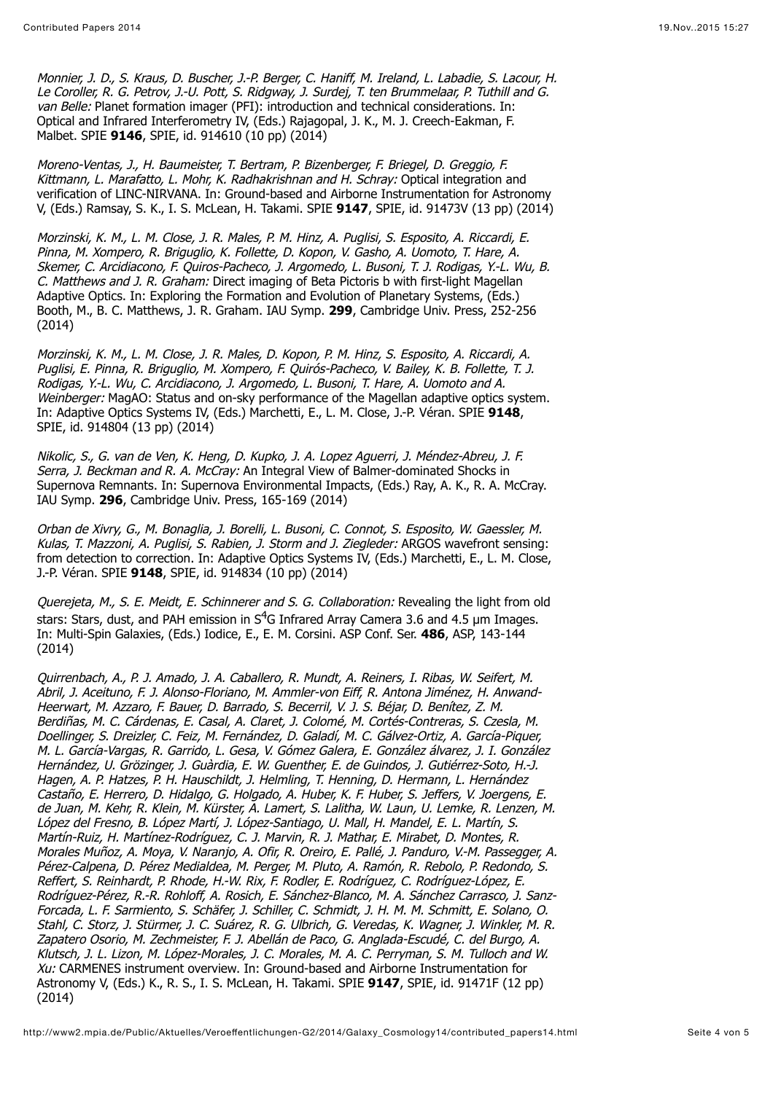Monnier, J. D., S. Kraus, D. Buscher, J.-P. Berger, C. Haniff, M. Ireland, L. Labadie, S. Lacour, H. Le Coroller, R. G. Petrov, J.-U. Pott, S. Ridgway, J. Surdej, T. ten Brummelaar, P. Tuthill and G. van Belle: Planet formation imager (PFI): introduction and technical considerations. In: Optical and Infrared Interferometry IV, (Eds.) Rajagopal, J. K., M. J. Creech-Eakman, F. Malbet. SPIE **9146**, SPIE, id. 914610 (10 pp) (2014)

Moreno-Ventas, J., H. Baumeister, T. Bertram, P. Bizenberger, F. Briegel, D. Greggio, F. Kittmann, L. Marafatto, L. Mohr, K. Radhakrishnan and H. Schray: Optical integration and verification of LINC-NIRVANA. In: Ground-based and Airborne Instrumentation for Astronomy V, (Eds.) Ramsay, S. K., I. S. McLean, H. Takami. SPIE **9147**, SPIE, id. 91473V (13 pp) (2014)

Morzinski, K. M., L. M. Close, J. R. Males, P. M. Hinz, A. Puglisi, S. Esposito, A. Riccardi, E. Pinna, M. Xompero, R. Briguglio, K. Follette, D. Kopon, V. Gasho, A. Uomoto, T. Hare, A. Skemer, C. Arcidiacono, F. Quiros-Pacheco, J. Argomedo, L. Busoni, T. J. Rodigas, Y.-L. Wu, B. C. Matthews and J. R. Graham: Direct imaging of Beta Pictoris b with first-light Magellan Adaptive Optics. In: Exploring the Formation and Evolution of Planetary Systems, (Eds.) Booth, M., B. C. Matthews, J. R. Graham. IAU Symp. **299**, Cambridge Univ. Press, 252-256 (2014)

Morzinski, K. M., L. M. Close, J. R. Males, D. Kopon, P. M. Hinz, S. Esposito, A. Riccardi, A. Puglisi, E. Pinna, R. Briguglio, M. Xompero, F. Quirós-Pacheco, V. Bailey, K. B. Follette, T. J. Rodigas, Y.-L. Wu, C. Arcidiacono, J. Argomedo, L. Busoni, T. Hare, A. Uomoto and A. Weinberger: MagAO: Status and on-sky performance of the Magellan adaptive optics system. In: Adaptive Optics Systems IV, (Eds.) Marchetti, E., L. M. Close, J.-P. Véran. SPIE **9148**, SPIE, id. 914804 (13 pp) (2014)

Nikolic, S., G. van de Ven, K. Heng, D. Kupko, J. A. Lopez Aguerri, J. Méndez-Abreu, J. F. Serra, J. Beckman and R. A. McCray: An Integral View of Balmer-dominated Shocks in Supernova Remnants. In: Supernova Environmental Impacts, (Eds.) Ray, A. K., R. A. McCray. IAU Symp. **296**, Cambridge Univ. Press, 165-169 (2014)

Orban de Xivry, G., M. Bonaglia, J. Borelli, L. Busoni, C. Connot, S. Esposito, W. Gaessler, M. Kulas, T. Mazzoni, A. Puglisi, S. Rabien, J. Storm and J. Ziegleder: ARGOS wavefront sensing: from detection to correction. In: Adaptive Optics Systems IV, (Eds.) Marchetti, E., L. M. Close, J.-P. Véran. SPIE **9148**, SPIE, id. 914834 (10 pp) (2014)

Querejeta, M., S. E. Meidt, E. Schinnerer and S. G. Collaboration: Revealing the light from old stars: Stars, dust, and PAH emission in  $S<sup>4</sup>G$  Infrared Array Camera 3.6 and 4.5 µm Images. In: Multi-Spin Galaxies, (Eds.) Iodice, E., E. M. Corsini. ASP Conf. Ser. **486**, ASP, 143-144 (2014)

Quirrenbach, A., P. J. Amado, J. A. Caballero, R. Mundt, A. Reiners, I. Ribas, W. Seifert, M. Abril, J. Aceituno, F. J. Alonso-Floriano, M. Ammler-von Eiff, R. Antona Jiménez, H. Anwand-Heerwart, M. Azzaro, F. Bauer, D. Barrado, S. Becerril, V. J. S. Béjar, D. Benítez, Z. M. Berdiñas, M. C. Cárdenas, E. Casal, A. Claret, J. Colomé, M. Cortés-Contreras, S. Czesla, M. Doellinger, S. Dreizler, C. Feiz, M. Fernández, D. Galadí, M. C. Gálvez-Ortiz, A. García-Piquer, M. L. García-Vargas, R. Garrido, L. Gesa, V. Gómez Galera, E. González álvarez, J. I. González Hernández, U. Grözinger, J. Guàrdia, E. W. Guenther, E. de Guindos, J. Gutiérrez-Soto, H.-J. Hagen, A. P. Hatzes, P. H. Hauschildt, J. Helmling, T. Henning, D. Hermann, L. Hernández Castaño, E. Herrero, D. Hidalgo, G. Holgado, A. Huber, K. F. Huber, S. Jeffers, V. Joergens, E. de Juan, M. Kehr, R. Klein, M. Kürster, A. Lamert, S. Lalitha, W. Laun, U. Lemke, R. Lenzen, M. López del Fresno, B. López Martí, J. López-Santiago, U. Mall, H. Mandel, E. L. Martín, S. Martín-Ruiz, H. Martínez-Rodríguez, C. J. Marvin, R. J. Mathar, E. Mirabet, D. Montes, R. Morales Muñoz, A. Moya, V. Naranjo, A. Ofir, R. Oreiro, E. Pallé, J. Panduro, V.-M. Passegger, A. Pérez-Calpena, D. Pérez Medialdea, M. Perger, M. Pluto, A. Ramón, R. Rebolo, P. Redondo, S. Reffert, S. Reinhardt, P. Rhode, H.-W. Rix, F. Rodler, E. Rodríguez, C. Rodríguez-López, E. Rodríguez-Pérez, R.-R. Rohloff, A. Rosich, E. Sánchez-Blanco, M. A. Sánchez Carrasco, J. Sanz-Forcada, L. F. Sarmiento, S. Schäfer, J. Schiller, C. Schmidt, J. H. M. M. Schmitt, E. Solano, O. Stahl, C. Storz, J. Stürmer, J. C. Suárez, R. G. Ulbrich, G. Veredas, K. Wagner, J. Winkler, M. R. Zapatero Osorio, M. Zechmeister, F. J. Abellán de Paco, G. Anglada-Escudé, C. del Burgo, A. Klutsch, J. L. Lizon, M. López-Morales, J. C. Morales, M. A. C. Perryman, S. M. Tulloch and W. Xu: CARMENES instrument overview. In: Ground-based and Airborne Instrumentation for Astronomy V, (Eds.) K., R. S., I. S. McLean, H. Takami. SPIE **9147**, SPIE, id. 91471F (12 pp) (2014)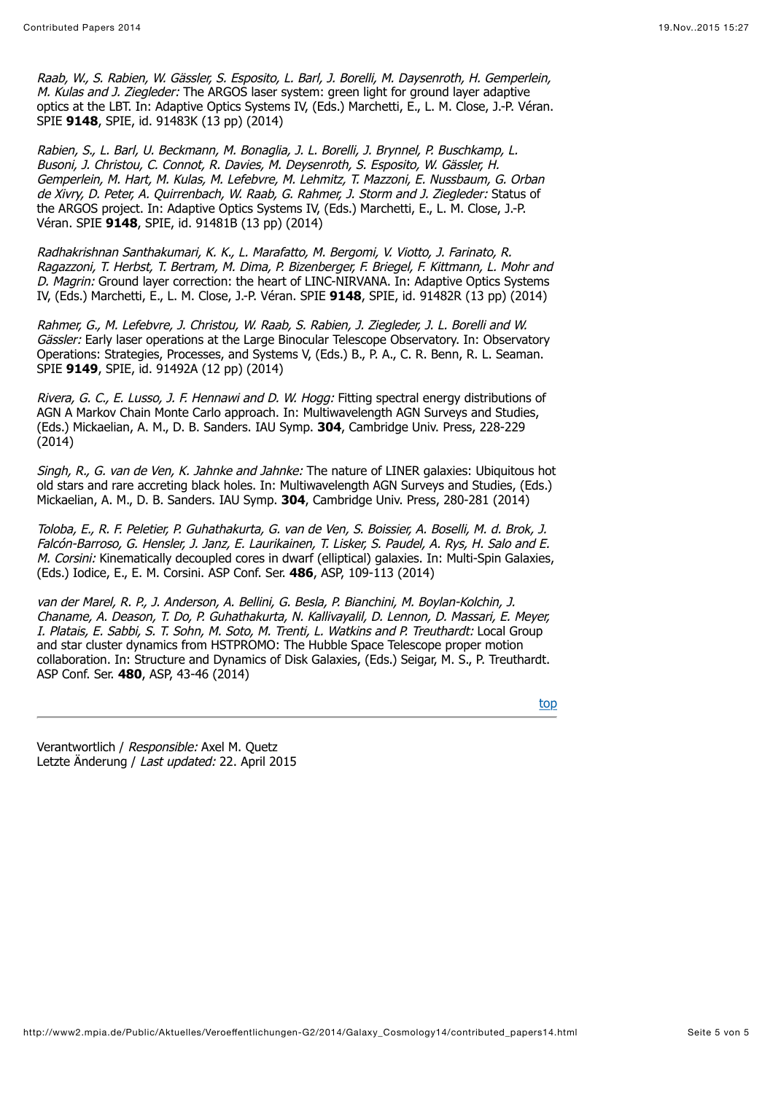Raab, W., S. Rabien, W. Gässler, S. Esposito, L. Barl, J. Borelli, M. Daysenroth, H. Gemperlein, M. Kulas and J. Ziegleder: The ARGOS laser system: green light for ground layer adaptive optics at the LBT. In: Adaptive Optics Systems IV, (Eds.) Marchetti, E., L. M. Close, J.-P. Véran. SPIE **9148**, SPIE, id. 91483K (13 pp) (2014)

Rabien, S., L. Barl, U. Beckmann, M. Bonaglia, J. L. Borelli, J. Brynnel, P. Buschkamp, L. Busoni, J. Christou, C. Connot, R. Davies, M. Deysenroth, S. Esposito, W. Gässler, H. Gemperlein, M. Hart, M. Kulas, M. Lefebvre, M. Lehmitz, T. Mazzoni, E. Nussbaum, G. Orban de Xivrv, D. Peter, A. Ouirrenbach, W. Raab, G. Rahmer, J. Storm and J. Ziegleder: Status of the ARGOS project. In: Adaptive Optics Systems IV, (Eds.) Marchetti, E., L. M. Close, J.-P. Véran. SPIE **9148**, SPIE, id. 91481B (13 pp) (2014)

Radhakrishnan Santhakumari, K. K., L. Marafatto, M. Bergomi, V. Viotto, J. Farinato, R. Ragazzoni, T. Herbst, T. Bertram, M. Dima, P. Bizenberger, F. Briegel, F. Kittmann, L. Mohr and D. Magrin: Ground layer correction: the heart of LINC-NIRVANA. In: Adaptive Optics Systems IV, (Eds.) Marchetti, E., L. M. Close, J.-P. Véran. SPIE **9148**, SPIE, id. 91482R (13 pp) (2014)

Rahmer, G., M. Lefebvre, J. Christou, W. Raab, S. Rabien, J. Ziegleder, J. L. Borelli and W. Gässler: Early laser operations at the Large Binocular Telescope Observatory. In: Observatory Operations: Strategies, Processes, and Systems V, (Eds.) B., P. A., C. R. Benn, R. L. Seaman. SPIE **9149**, SPIE, id. 91492A (12 pp) (2014)

Rivera, G. C., E. Lusso, J. F. Hennawi and D. W. Hogg: Fitting spectral energy distributions of AGN A Markov Chain Monte Carlo approach. In: Multiwavelength AGN Surveys and Studies, (Eds.) Mickaelian, A. M., D. B. Sanders. IAU Symp. **304**, Cambridge Univ. Press, 228-229 (2014)

Singh, R., G. van de Ven, K. Jahnke and Jahnke: The nature of LINER galaxies: Ubiquitous hot old stars and rare accreting black holes. In: Multiwavelength AGN Surveys and Studies, (Eds.) Mickaelian, A. M., D. B. Sanders. IAU Symp. **304**, Cambridge Univ. Press, 280-281 (2014)

Toloba, E., R. F. Peletier, P. Guhathakurta, G. van de Ven, S. Boissier, A. Boselli, M. d. Brok, J. Falcón-Barroso, G. Hensler, J. Janz, E. Laurikainen, T. Lisker, S. Paudel, A. Rys, H. Salo and E. M. Corsini: Kinematically decoupled cores in dwarf (elliptical) galaxies. In: Multi-Spin Galaxies, (Eds.) Iodice, E., E. M. Corsini. ASP Conf. Ser. **486**, ASP, 109-113 (2014)

van der Marel, R. P., J. Anderson, A. Bellini, G. Besla, P. Bianchini, M. Boylan-Kolchin, J. Chaname, A. Deason, T. Do, P. Guhathakurta, N. Kallivayalil, D. Lennon, D. Massari, E. Meyer, I. Platais, E. Sabbi, S. T. Sohn, M. Soto, M. Trenti, L. Watkins and P. Treuthardt: Local Group and star cluster dynamics from HSTPROMO: The Hubble Space Telescope proper motion collaboration. In: Structure and Dynamics of Disk Galaxies, (Eds.) Seigar, M. S., P. Treuthardt. ASP Conf. Ser. **480**, ASP, 43-46 (2014)

[top](http://www2.mpia.de/Public/Aktuelles/Veroeffentlichungen-G2/2014/Galaxy_Cosmology14/contributed_papers14.html#top)

Verantwortlich / Responsible: Axel M. Quetz Letzte Änderung / Last updated: 22. April 2015